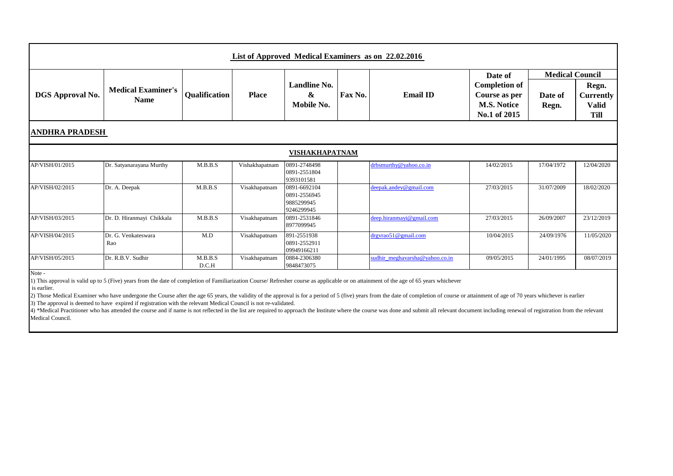| List of Approved Medical Examiners as on 22,02,2016 |                                          |                      |              |                                 |         |                 |                                                                                        |                                            |                                                          |  |  |
|-----------------------------------------------------|------------------------------------------|----------------------|--------------|---------------------------------|---------|-----------------|----------------------------------------------------------------------------------------|--------------------------------------------|----------------------------------------------------------|--|--|
| <b>DGS Approval No.</b>                             | <b>Medical Examiner's</b><br><b>Name</b> | <b>Oualification</b> | <b>Place</b> | Landline No.<br>&<br>Mobile No. | Fax No. | <b>Email ID</b> | Date of<br><b>Completion of</b><br>Course as per<br><b>M.S. Notice</b><br>No.1 of 2015 | <b>Medical Council</b><br>Date of<br>Regn. | Regn.<br><b>Currently</b><br><b>Valid</b><br><b>Till</b> |  |  |

# **ANDHRA PRADESH**

| <b>VISHAKHAPATNAM</b> |                            |                  |                |                                                          |  |                                |            |            |            |  |  |  |  |
|-----------------------|----------------------------|------------------|----------------|----------------------------------------------------------|--|--------------------------------|------------|------------|------------|--|--|--|--|
| AP/VISH/01/2015       | Dr. Satyanarayana Murthy   | M.B.B.S          | Vishakhapatnam | 0891-2748498<br>0891-2551804<br>9393101581               |  | drbsmurthy@yahoo.co.in         | 14/02/2015 | 17/04/1972 | 12/04/2020 |  |  |  |  |
| AP/VISH/02/2015       | Dr. A. Deepak              | M.B.B.S          | Visakhapatnam  | 0891-6692104<br>0891-2556945<br>9885299945<br>9246299945 |  | $deepak$ . andey@gmail.com     | 27/03/2015 | 31/07/2009 | 18/02/2020 |  |  |  |  |
| AP/VISH/03/2015       | Dr. D. Hiranmayi Chikkala  | M.B.B.S          | Visakhapatnam  | 0891-2531846<br>8977099945                               |  | deep.hiran mayi@gmail.com      | 27/03/2015 | 26/09/2007 | 23/12/2019 |  |  |  |  |
| AP/VISH/04/2015       | Dr. G. Venkateswara<br>Rao | M.D              | Visakhapatnam  | 891-2551938<br>0891-2552911<br>09949166211               |  | drgvrao51@gmail.com            | 10/04/2015 | 24/09/1976 | 11/05/2020 |  |  |  |  |
| AP/VISH/05/2015       | Dr. R.B.V. Sudhir          | M.B.B.S<br>D.C.H | Visakhapatnam  | 0884-2306380<br>9848473075                               |  | sudhir meghavarsha@yahoo.co.in | 09/05/2015 | 24/01/1995 | 08/07/2019 |  |  |  |  |

Note -

1) This approval is valid up to 5 (Five) years from the date of completion of Familiarization Course/ Refresher course as applicable or on attainment of the age of 65 years whichever is earlier.

2) Those Medical Examiner who have undergone the Course after the age 65 years, the validity of the approval is for a period of 5 (five) years from the date of completion of course or attainment of age of 70 years whicheve 3) The approval is deemed to have expired if registration with the relevant Medical Council is not re-validated.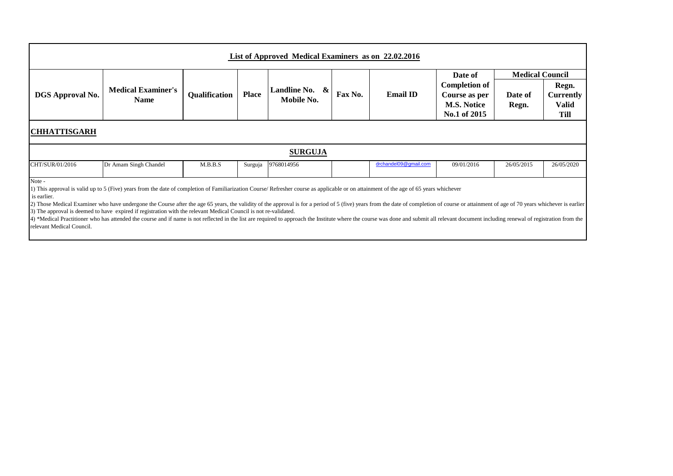| List of Approved Medical Examiners as on 22.02.2016 |                           |                      |              |                          |         |                 |                      |                        |                  |  |  |
|-----------------------------------------------------|---------------------------|----------------------|--------------|--------------------------|---------|-----------------|----------------------|------------------------|------------------|--|--|
|                                                     |                           |                      |              |                          |         |                 | Date of              | <b>Medical Council</b> |                  |  |  |
|                                                     |                           |                      |              |                          |         |                 | <b>Completion of</b> |                        | Regn.            |  |  |
| <b>DGS Approval No.</b>                             | <b>Medical Examiner's</b> | <b>Qualification</b> | <b>Place</b> | <b>Landline No.</b><br>& | Fax No. | <b>Email ID</b> | Course as per        | Date of                | <b>Currently</b> |  |  |
|                                                     | <b>Name</b>               |                      |              | Mobile No.               |         |                 | <b>M.S. Notice</b>   | Regn.                  | <b>Valid</b>     |  |  |
|                                                     |                           |                      |              |                          |         |                 | No.1 of 2015         |                        | Till             |  |  |
|                                                     |                           |                      |              |                          |         |                 |                      |                        |                  |  |  |

#### **CHHATTISGARH**

|                 |                       |         | <b>SURGUJA</b>     |                       |            |            |            |
|-----------------|-----------------------|---------|--------------------|-----------------------|------------|------------|------------|
| CHT/SUR/01/2016 | Dr Amam Singh Chandel | M.B.B.S | Surguja 9768014956 | drchandel09@gmail.com | 09/01/2016 | 26/05/2015 | 26/05/2020 |
| Note -          |                       |         |                    |                       |            |            |            |

1) This approval is valid up to 5 (Five) years from the date of completion of Familiarization Course/ Refresher course as applicable or on attainment of the age of 65 years whichever

is earlier.

2) Those Medical Examiner who have undergone the Course after the age 65 years, the validity of the approval is for a period of 5 (five) years from the date of completion of course or attainment of age of 70 years whicheve 3) The approval is deemed to have expired if registration with the relevant Medical Council is not re-validated.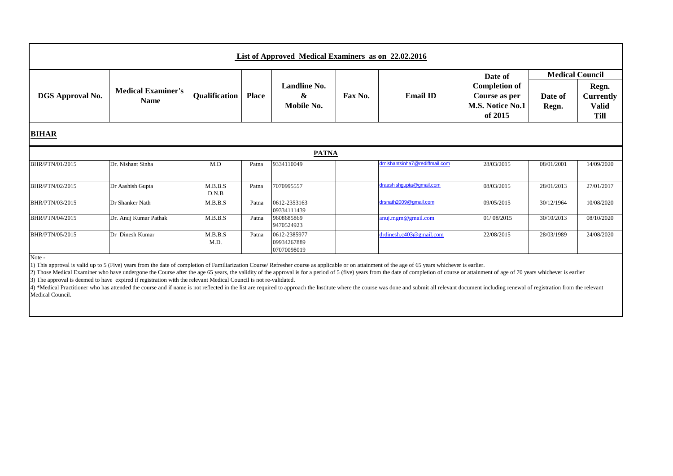|                         | List of Approved Medical Examiners as on 22.02.2016 |                      |              |                                 |         |                                |                                                                                        |                                            |                                                          |  |  |  |  |
|-------------------------|-----------------------------------------------------|----------------------|--------------|---------------------------------|---------|--------------------------------|----------------------------------------------------------------------------------------|--------------------------------------------|----------------------------------------------------------|--|--|--|--|
| <b>DGS</b> Approval No. | <b>Medical Examiner's</b><br><b>Name</b>            | <b>Qualification</b> | <b>Place</b> | Landline No.<br>&<br>Mobile No. | Fax No. | <b>Email ID</b>                | Date of<br><b>Completion of</b><br>Course as per<br><b>M.S. Notice No.1</b><br>of 2015 | <b>Medical Council</b><br>Date of<br>Regn. | Regn.<br><b>Currently</b><br><b>Valid</b><br><b>Till</b> |  |  |  |  |
| <b>BIHAR</b>            |                                                     |                      |              |                                 |         |                                |                                                                                        |                                            |                                                          |  |  |  |  |
|                         |                                                     |                      |              | <b>PATNA</b>                    |         |                                |                                                                                        |                                            |                                                          |  |  |  |  |
| BHR/PTN/01/2015         | Dr. Nishant Sinha                                   | M.D                  | Patna        | 9334110049                      |         | drnishantsinha7@rediffmail.com | 28/03/2015                                                                             | 08/01/2001                                 | 14/09/2020                                               |  |  |  |  |
| BHR/PTN/02/2015         | Dr Aashish Gupta                                    | M.B.B.S<br>D.N.B     | Patna        | 7070995557                      |         | draashishgupta@gmail.com       | 08/03/2015                                                                             | 28/01/2013                                 | 27/01/2017                                               |  |  |  |  |

[drsnath2009@gmail.com](mailto:drsnath2009@gmail.com) 09/05/2015 30/12/1964 10/08/2020

[anuj.mgm@gmail.com](mailto:anuj.mgm@gmail.com) 01/ 08/2015 30/10/2013 08/10/2020

[drdinesh.c403@gmail.com](mailto:drdinesh.c403@gmail.com) 22/08/2015 28/03/1989 24/08/2020

1) This approval is valid up to 5 (Five) years from the date of completion of Familiarization Course/ Refresher course as applicable or on attainment of the age of 65 years whichever is earlier. 2) Those Medical Examiner who have undergone the Course after the age 65 years, the validity of the approval is for a period of 5 (five) years from the date of completion of course or attainment of age of 70 years whicheve

09334111439<br>9608685869

9470524923

Patna 0612-2385977 09934267889 07070098019

3) The approval is deemed to have expired if registration with the relevant Medical Council is not re-validated.

BHR/PTN/03/2015 Dr Shanker Nath M.B.B.S Patna 0612-2353163

M.D.

BHR/PTN/04/2015 Dr. Anuj Kumar Pathak M.B.B.S Patna

BHR/PTN/05/2015 Dr Dinesh Kumar M.B.B.S

Note -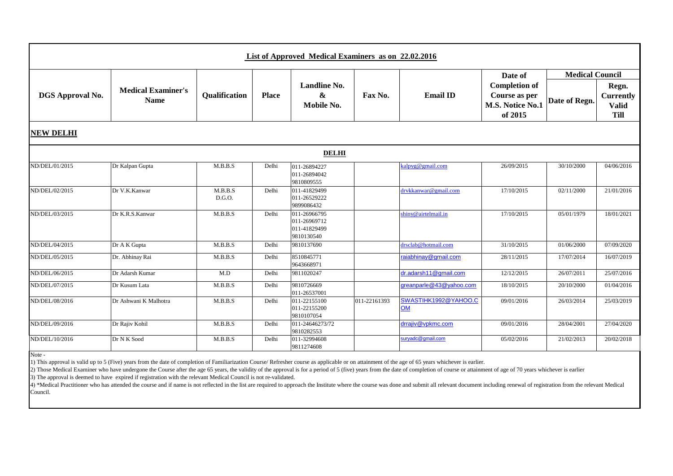|                         |                                          |                   |              | List of Approved Medical Examiners as on 22.02.2016        |              |                                   |                                              |                        |                                                          |
|-------------------------|------------------------------------------|-------------------|--------------|------------------------------------------------------------|--------------|-----------------------------------|----------------------------------------------|------------------------|----------------------------------------------------------|
|                         |                                          |                   |              | <b>Landline No.</b>                                        |              |                                   | Date of<br><b>Completion of</b>              | <b>Medical Council</b> |                                                          |
| <b>DGS</b> Approval No. | <b>Medical Examiner's</b><br><b>Name</b> | Qualification     | <b>Place</b> | &<br>Mobile No.                                            | Fax No.      | <b>Email ID</b>                   | Course as per<br>M.S. Notice No.1<br>of 2015 | Date of Regn.          | Regn.<br><b>Currently</b><br><b>Valid</b><br><b>Till</b> |
| <b>NEW DELHI</b>        |                                          |                   |              |                                                            |              |                                   |                                              |                        |                                                          |
|                         |                                          |                   |              | <b>DELHI</b>                                               |              |                                   |                                              |                        |                                                          |
| ND/DEL/01/2015          | Dr Kalpan Gupta                          | M.B.B.S           | Delhi        | 011-26894227<br>011-26894042<br>9810809555                 |              | kalpyg@gmail.com                  | 26/09/2015                                   | 30/10/2000             | 04/06/2016                                               |
| ND/DEL/02/2015          | Dr V.K.Kanwar                            | M.B.B.S<br>D.G.O. | Delhi        | 011-41829499<br>011-26529222<br>9899086432                 |              | drvkkanwar@gmail.com              | 17/10/2015                                   | 02/11/2000             | 21/01/2016                                               |
| ND/DEL/03/2015          | Dr K.R.S.Kanwar                          | M.B.B.S           | Delhi        | 011-26966795<br>011-26969712<br>011-41829499<br>9810130540 |              | shiny@airtelmail.in               | 17/10/2015                                   | 05/01/1979             | 18/01/2021                                               |
| ND/DEL/04/2015          | Dr A K Gupta                             | M.B.B.S           | Delhi        | 9810137690                                                 |              | drsclab@hotmail.com               | 31/10/2015                                   | 01/06/2000             | 07/09/2020                                               |
| ND/DEL/05/2015          | Dr. Abhinay Rai                          | M.B.B.S           | Delhi        | 8510845771<br>9643668971                                   |              | raiabhinay@gmail.com              | 28/11/2015                                   | 17/07/2014             | 16/07/2019                                               |
| ND/DEL/06/2015          | Dr Adarsh Kumar                          | M.D               | Delhi        | 9811020247                                                 |              | dr.adarsh11@gmail.com             | 12/12/2015                                   | 26/07/2011             | 25/07/2016                                               |
| ND/DEL/07/2015          | Dr Kusum Lata                            | M.B.B.S           | Delhi        | 9810726669<br>011-26537001                                 |              | greanparle@43@yahoo.com           | 18/10/2015                                   | 20/10/2000             | 01/04/2016                                               |
| ND/DEL/08/2016          | Dr Ashwani K Malhotra                    | M.B.B.S           | Delhi        | 011-22155100<br>011-22155200<br>9810107054                 | 011-22161393 | SWASTIHK1992@YAHOO.C<br><b>OM</b> | 09/01/2016                                   | 26/03/2014             | 25/03/2019                                               |
| ND/DEL/09/2016          | Dr Rajiv Kohil                           | M.B.B.S           | Delhi        | 011-24646273/72<br>9810282553                              |              | drrajiv@vpkmc.com                 | 09/01/2016                                   | 28/04/2001             | 27/04/2020                                               |
| ND/DEL/10/2016          | Dr N K Sood                              | M.B.B.S           | Delhi        | 011-32994608<br>9811274608                                 |              | suryadc@gmail.com                 | 05/02/2016                                   | 21/02/2013             | 20/02/2018                                               |

1) This approval is valid up to 5 (Five) years from the date of completion of Familiarization Course/ Refresher course as applicable or on attainment of the age of 65 years whichever is earlier.

2) Those Medical Examiner who have undergone the Course after the age 65 years, the validity of the approval is for a period of 5 (five) years from the date of completion of course or attainment of age of 70 years whicheve 3) The approval is deemed to have expired if registration with the relevant Medical Council is not re-validated.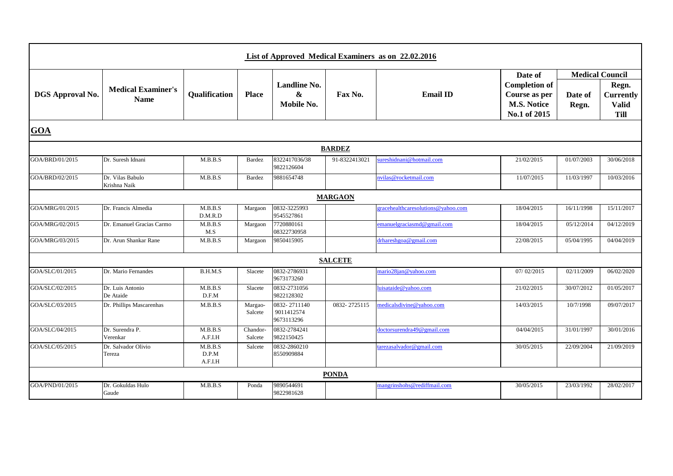|                         |                                          |                             |                     |                                          |                | List of Approved Medical Examiners as on 22.02.2016 |                                                                             |                  |                                                          |
|-------------------------|------------------------------------------|-----------------------------|---------------------|------------------------------------------|----------------|-----------------------------------------------------|-----------------------------------------------------------------------------|------------------|----------------------------------------------------------|
|                         |                                          |                             |                     |                                          |                |                                                     | Date of                                                                     |                  | <b>Medical Council</b>                                   |
| <b>DGS</b> Approval No. | <b>Medical Examiner's</b><br><b>Name</b> | Qualification               | <b>Place</b>        | <b>Landline No.</b><br>&<br>Mobile No.   | Fax No.        | <b>Email ID</b>                                     | <b>Completion of</b><br>Course as per<br><b>M.S. Notice</b><br>No.1 of 2015 | Date of<br>Regn. | Regn.<br><b>Currently</b><br><b>Valid</b><br><b>Till</b> |
| <b>GOA</b>              |                                          |                             |                     |                                          |                |                                                     |                                                                             |                  |                                                          |
|                         |                                          |                             |                     |                                          | <b>BARDEZ</b>  |                                                     |                                                                             |                  |                                                          |
| GOA/BRD/01/2015         | Dr. Suresh Idnani                        | M.B.B.S                     | <b>Bardez</b>       | 8322417036/38<br>9822126604              | 91-8322413021  | sureshidnani@hotmail.com                            | 21/02/2015                                                                  | 01/07/2003       | 30/06/2018                                               |
| GOA/BRD/02/2015         | Dr. Vilas Babulo<br>Krishna Naik         | M.B.B.S                     | <b>Bardez</b>       | 9881654748                               |                | nvilas@rocketmail.com                               | 11/07/2015                                                                  | 11/03/1997       | 10/03/2016                                               |
|                         |                                          |                             |                     |                                          | <b>MARGAON</b> |                                                     |                                                                             |                  |                                                          |
| GOA/MRG/01/2015         | Dr. Francis Almedia                      | M.B.B.S<br>D.M.R.D          | Margaon             | 0832-3225993<br>9545527861               |                | racehealthcaresolutions@vahoo.com                   | 18/04/2015                                                                  | 16/11/1998       | 15/11/2017                                               |
| GOA/MRG/02/2015         | Dr. Emanuel Gracias Carmo                | M.B.B.S<br>M.S              | Margaon             | 7720880161<br>08322730958                |                | emanuelgraciasmd@gmail.com                          | 18/04/2015                                                                  | 05/12/2014       | 04/12/2019                                               |
| GOA/MRG/03/2015         | Dr. Arun Shankar Rane                    | M.B.B.S                     | Margaon             | 9850415905                               |                | drhareshgoa@gmail.com                               | 22/08/2015                                                                  | 05/04/1995       | 04/04/2019                                               |
|                         |                                          |                             |                     |                                          | <b>SALCETE</b> |                                                     |                                                                             |                  |                                                          |
| GOA/SLC/01/2015         | Dr. Mario Fernandes                      | B.H.M.S                     | Slacete             | 0832-2786931<br>9673173260               |                | mario28jan@yahoo.com                                | 07/02/2015                                                                  | 02/11/2009       | 06/02/2020                                               |
| GOA/SLC/02/2015         | Dr. Luis Antonio<br>De Ataide            | M.B.B.S<br>D.F.M            | Slacete             | 0832-2731056<br>9822128302               |                | luisataide@yahoo.com                                | 21/02/2015                                                                  | 30/07/2012       | 01/05/2017                                               |
| GOA/SLC/03/2015         | Dr. Phillips Mascarenhas                 | M.B.B.S                     | Margao-<br>Salcete  | 0832-2711140<br>9011412574<br>9673113296 | 0832-2725115   | medicalsdivine@yahoo.com                            | 14/03/2015                                                                  | 10/7/1998        | 09/07/2017                                               |
| GOA/SLC/04/2015         | Dr. Surendra P.<br>Verenkar              | M.B.B.S<br>A.F.I.H          | Chandor-<br>Salcete | 0832-2784241<br>9822150425               |                | doctorsurendra49@gmail.com                          | 04/04/2015                                                                  | 31/01/1997       | 30/01/2016                                               |
| GOA/SLC/05/2015         | Dr. Salvador Olivio<br>Tereza            | M.B.B.S<br>D.P.M<br>A.F.I.H | Salcete             | 0832-2860210<br>8550909884               |                | tarezasalvador@gmail.com                            | 30/05/2015                                                                  | 22/09/2004       | 21/09/2019                                               |
|                         |                                          |                             |                     |                                          | <b>PONDA</b>   |                                                     |                                                                             |                  |                                                          |
| GOA/PND/01/2015         | Dr. Gokuldas Hulo<br>Gaude               | M.B.B.S                     | Ponda               | 9890544691<br>9822981628                 |                | mangrinshohs@rediffmail.com                         | 30/05/2015                                                                  | 23/03/1992       | 28/02/2017                                               |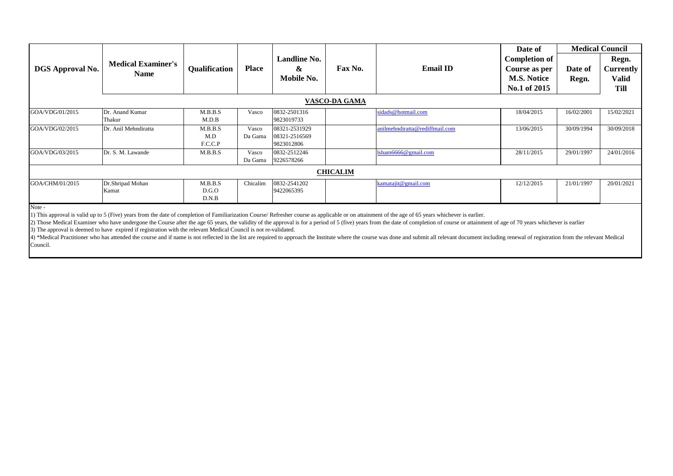|                         |                                          |                           |                  |                                              |                 |                                | Date of                                                                     | <b>Medical Council</b> |                                                   |
|-------------------------|------------------------------------------|---------------------------|------------------|----------------------------------------------|-----------------|--------------------------------|-----------------------------------------------------------------------------|------------------------|---------------------------------------------------|
| <b>DGS</b> Approval No. | <b>Medical Examiner's</b><br><b>Name</b> | Qualification             | <b>Place</b>     | Landline No.<br>&<br>Mobile No.              | Fax No.         | <b>Email ID</b>                | <b>Completion of</b><br>Course as per<br><b>M.S. Notice</b><br>No.1 of 2015 | Date of<br>Regn.       | Regn.<br><b>Currently</b><br>Valid<br><b>Till</b> |
|                         |                                          |                           |                  |                                              | VASCO-DA GAMA   |                                |                                                                             |                        |                                                   |
| GOA/VDG/01/2015         | Dr. Anand Kumar<br>Thakur                | M.B.B.S<br>M.D.B          | Vasco            | 0832-2501316<br>9823019733                   |                 | sidads@hotmail.com             | 18/04/2015                                                                  | 16/02/2001             | 15/02/2021                                        |
| GOA/VDG/02/2015         | Dr. Anil Mehndiratta                     | M.B.B.S<br>M.D<br>F.C.C.P | Vasco<br>Da Gama | 08321-2531929<br>08321-2516569<br>9823012806 |                 | anilmehndiratta@rediffmail.com | 13/06/2015                                                                  | 30/09/1994             | 30/09/2018                                        |
| GOA/VDG/03/2015         | Dr. S. M. Lawande                        | M.B.B.S                   | Vasco<br>Da Gama | 0832-2512246<br>9226578266                   |                 | lsham6666@gmail.com            | 28/11/2015                                                                  | 29/01/1997             | 24/01/2016                                        |
|                         |                                          |                           |                  |                                              | <b>CHICALIM</b> |                                |                                                                             |                        |                                                   |
| GOA/CHM/01/2015<br>.    | Dr.Shripad Mohan<br>Kamat                | M.B.B.S<br>D.G.O<br>D.N.B | Chicalim         | 0832-2541202<br>9422065395                   |                 | kamatajit@gmail.com            | 12/12/2015                                                                  | 21/01/1997             | 20/01/2021                                        |

Note -

1) This approval is valid up to 5 (Five) years from the date of completion of Familiarization Course/ Refresher course as applicable or on attainment of the age of 65 years whichever is earlier.

2) Those Medical Examiner who have undergone the Course after the age 65 years, the validity of the approval is for a period of 5 (five) years from the date of completion of course or attainment of age of 70 years whicheve

3) The approval is deemed to have expired if registration with the relevant Medical Council is not re-validated.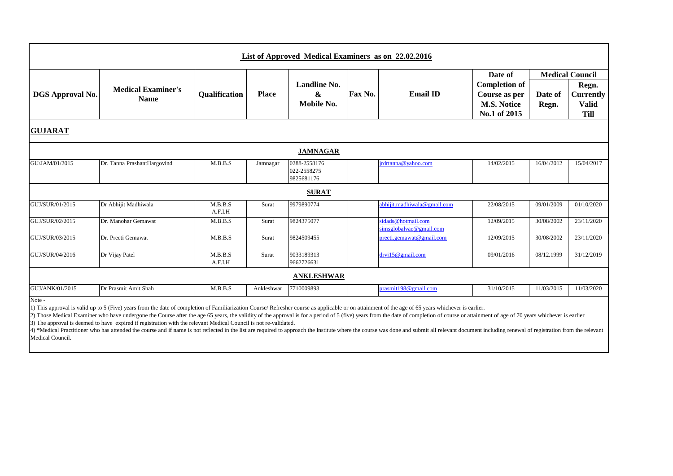|                         |                                          |                    |              | List of Approved Medical Examiners as on 22.02.2016 |         |                                               |                                                                                        |                  |                                                                                    |
|-------------------------|------------------------------------------|--------------------|--------------|-----------------------------------------------------|---------|-----------------------------------------------|----------------------------------------------------------------------------------------|------------------|------------------------------------------------------------------------------------|
| <b>DGS</b> Approval No. | <b>Medical Examiner's</b><br><b>Name</b> | Qualification      | <b>Place</b> | <b>Landline No.</b><br>&<br>Mobile No.              | Fax No. | <b>Email ID</b>                               | Date of<br><b>Completion of</b><br>Course as per<br><b>M.S. Notice</b><br>No.1 of 2015 | Date of<br>Regn. | <b>Medical Council</b><br>Regn.<br><b>Currently</b><br><b>Valid</b><br><b>Till</b> |
| <b>GUJARAT</b>          |                                          |                    |              |                                                     |         |                                               |                                                                                        |                  |                                                                                    |
|                         |                                          |                    |              | <b>JAMNAGAR</b>                                     |         |                                               |                                                                                        |                  |                                                                                    |
| GU/JAM/01/2015          | Dr. Tanna PrashantHargovind              | M.B.B.S            | Jamnagar     | 0288-2558176<br>022-2558275<br>9825681176           |         | jrdrtanna@yahoo.com                           | 14/02/2015                                                                             | 16/04/2012       | 15/04/2017                                                                         |
|                         |                                          |                    |              | <b>SURAT</b>                                        |         |                                               |                                                                                        |                  |                                                                                    |
| GUJ/SUR/01/2015         | Dr Abhijit Madhiwala                     | M.B.B.S<br>A.F.I.H | Surat        | 9979890774                                          |         | abhijit.madhiwala@gmail.com                   | 22/08/2015                                                                             | 09/01/2009       | 01/10/2020                                                                         |
| GUJ/SUR/02/2015         | Dr. Manohar Gemawat                      | M.B.B.S            | Surat        | 9824375077                                          |         | sidads@hotmail.com<br>simsglobalvae@gmail.com | 12/09/2015                                                                             | 30/08/2002       | 23/11/2020                                                                         |
| GUJ/SUR/03/2015         | Dr. Preeti Gemawat                       | M.B.B.S            | Surat        | 9824509455                                          |         | oreeti.gemawat@gmail.com                      | 12/09/2015                                                                             | 30/08/2002       | 23/11/2020                                                                         |
| GUJ/SUR/04/2016         | Dr Vijay Patel                           | M.B.B.S<br>A.F.I.H | Surat        | 9033189313<br>9662726631                            |         | drvi15@gmail.com                              | 09/01/2016                                                                             | 08/12.1999       | 31/12/2019                                                                         |
|                         |                                          |                    |              | <b>ANKLESHWAR</b>                                   |         |                                               |                                                                                        |                  |                                                                                    |
| GUJ/ANK/01/2015         | Dr Prasmit Amit Shah                     | M.B.B.S            | Ankleshwar   | 7710009893                                          |         | prasmit198@gmail.com                          | 31/10/2015                                                                             | 11/03/2015       | 11/03/2020                                                                         |

2) Those Medical Examiner who have undergone the Course after the age 65 years, the validity of the approval is for a period of 5 (five) years from the date of completion of course or attainment of age of 70 years whicheve 3) The approval is deemed to have expired if registration with the relevant Medical Council is not re-validated.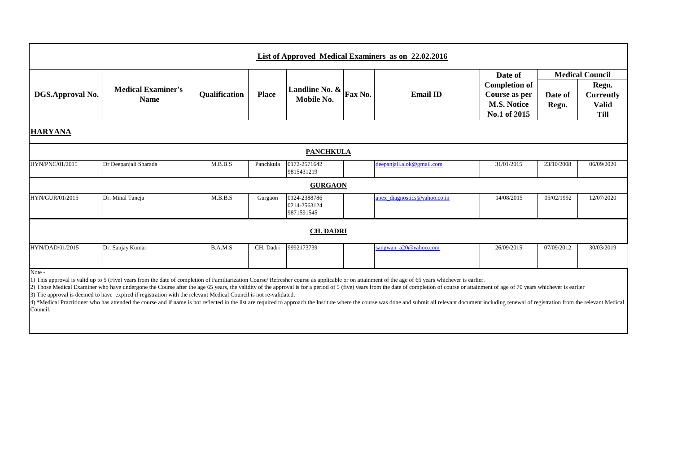|                         | List of Approved Medical Examiners as on 22.02.2016 |                      |              |                  |                |                 |                      |         |                        |  |  |  |  |
|-------------------------|-----------------------------------------------------|----------------------|--------------|------------------|----------------|-----------------|----------------------|---------|------------------------|--|--|--|--|
|                         |                                                     |                      |              |                  |                |                 | Date of              |         | <b>Medical Council</b> |  |  |  |  |
|                         |                                                     |                      |              |                  |                |                 | <b>Completion of</b> |         | Regn.                  |  |  |  |  |
| <b>DGS.Approval No.</b> | <b>Medical Examiner's</b>                           | <b>Oualification</b> | <b>Place</b> | Landline No. & . | <b>Fax No.</b> | <b>Email ID</b> | Course as per        | Date of | Currently              |  |  |  |  |
|                         | <b>Name</b>                                         |                      |              | Mobile No.       |                |                 | <b>M.S. Notice</b>   | Regn.   | Valid                  |  |  |  |  |
|                         |                                                     |                      |              |                  |                |                 | No.1 of 2015         |         | <b>Till</b>            |  |  |  |  |

#### **HARYANA**

| <b>PANCHKULA</b> |                       |         |           |                                            |  |                              |            |            |            |  |  |  |  |
|------------------|-----------------------|---------|-----------|--------------------------------------------|--|------------------------------|------------|------------|------------|--|--|--|--|
| HYN/PNC/01/2015  | Dr Deepanjali Sharada | M.B.B.S | Panchkula | 0172-2571642<br>9815431219                 |  | deepanjali.alok@gmail.com    | 31/01/2015 | 23/10/2008 | 06/09/2020 |  |  |  |  |
|                  |                       |         |           | <b>GURGAON</b>                             |  |                              |            |            |            |  |  |  |  |
| HYN/GUR/01/2015  | Dr. Minal Taneja      | M.B.B.S | Gurgaon   | 0124-2388786<br>0214-2563124<br>9871591545 |  | apex_diagnostics@yahoo.co.in | 14/08/2015 | 05/02/1992 | 12/07/2020 |  |  |  |  |
|                  |                       |         |           | <b>CH. DADRI</b>                           |  |                              |            |            |            |  |  |  |  |
| HYN/DAD/01/2015  | Dr. Sanjay Kumar      | B.A.M.S | CH. Dadri | 9992173739                                 |  | sangwan_a20@yahoo.com        | 26/09/2015 | 07/09/2012 | 30/03/2019 |  |  |  |  |

Note -

1) This approval is valid up to 5 (Five) years from the date of completion of Familiarization Course/ Refresher course as applicable or on attainment of the age of 65 years whichever is earlier.

2) Those Medical Examiner who have undergone the Course after the age 65 years, the validity of the approval is for a period of 5 (five) years from the date of completion of course or attainment of age of 70 years whicheve 3) The approval is deemed to have expired if registration with the relevant Medical Council is not re-validated.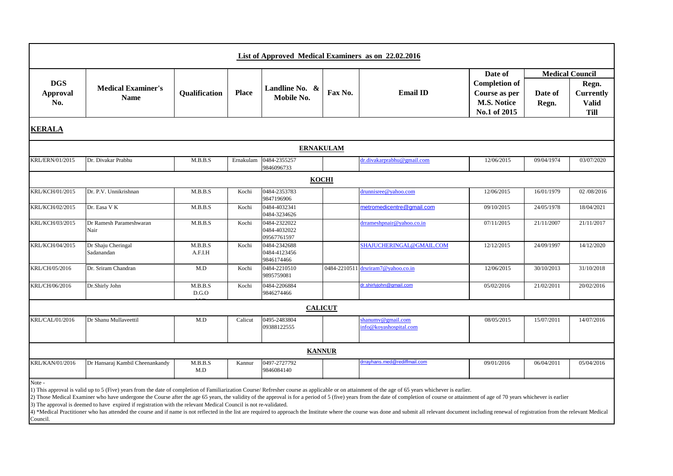|                                      |                                          |                    |              | List of Approved Medical Examiners as on 22.02.2016 |         |                                                                                                                                                                                                    |                                                                                        |                  |                                                                                    |
|--------------------------------------|------------------------------------------|--------------------|--------------|-----------------------------------------------------|---------|----------------------------------------------------------------------------------------------------------------------------------------------------------------------------------------------------|----------------------------------------------------------------------------------------|------------------|------------------------------------------------------------------------------------|
| <b>DGS</b><br><b>Approval</b><br>No. | <b>Medical Examiner's</b><br><b>Name</b> | Qualification      | <b>Place</b> | Landline No. &<br>Mobile No.                        | Fax No. | <b>Email ID</b>                                                                                                                                                                                    | Date of<br><b>Completion of</b><br>Course as per<br><b>M.S. Notice</b><br>No.1 of 2015 | Date of<br>Regn. | <b>Medical Council</b><br>Regn.<br><b>Currently</b><br><b>Valid</b><br><b>Till</b> |
| <b>KERALA</b>                        |                                          |                    |              |                                                     |         |                                                                                                                                                                                                    |                                                                                        |                  |                                                                                    |
|                                      |                                          |                    |              | <b>ERNAKULAM</b>                                    |         |                                                                                                                                                                                                    |                                                                                        |                  |                                                                                    |
| KRL/ERN/01/2015                      | Dr. Divakar Prabhu                       | M.B.B.S            | Ernakulam    | 0484-2355257<br>9846096733                          |         | dr.divakarprabhu@gmail.com                                                                                                                                                                         | 12/06/2015                                                                             | 09/04/1974       | 03/07/2020                                                                         |
|                                      |                                          |                    |              | <b>KOCHI</b>                                        |         |                                                                                                                                                                                                    |                                                                                        |                  |                                                                                    |
| KRL/KCH/01/2015                      | Dr. P.V. Unnikrishnan                    | M.B.B.S            | Kochi        | 0484-2353783<br>9847196906                          |         | drunnisree@yahoo.com                                                                                                                                                                               | 12/06/2015                                                                             | 16/01/1979       | 02/08/2016                                                                         |
| KRL/KCH/02/2015                      | Dr. Easa V K                             | M.B.B.S            | Kochi        | 0484-4032341<br>0484-3234626                        |         | metromedicentre@gmail.com                                                                                                                                                                          | 09/10/2015                                                                             | 24/05/1978       | 18/04/2021                                                                         |
| KRL/KCH/03/2015                      | Dr Ramesh Parameshwaran<br>Nair          | M.B.B.S            | Kochi        | 0484-2322022<br>0484-4032022<br>09567761597         |         | drrameshpnair@yahoo.co.in                                                                                                                                                                          | 07/11/2015                                                                             | 21/11/2007       | 21/11/2017                                                                         |
| KRL/KCH/04/2015                      | Dr Shaju Cheringal<br>Sadanandan         | M.B.B.S<br>A.F.I.H | Kochi        | 0484-2342688<br>0484-4123456<br>9846174466          |         | SHAJUCHERINGAL@GMAIL.COM                                                                                                                                                                           | 12/12/2015                                                                             | 24/09/1997       | 14/12/2020                                                                         |
| KRL/CH/05/2016                       | Dr. Sriram Chandran                      | M.D                | Kochi        | 0484-2210510<br>9895759081                          |         | 0484-2210511 drsriram7@yahoo.co.in                                                                                                                                                                 | 12/06/2015                                                                             | 30/10/2013       | 31/10/2018                                                                         |
| KRL/CH/06/2016                       | Dr.Shirly John                           | M.B.B.S<br>D.G.O   | Kochi        | 0484-2206884<br>9846274466                          |         | dr.shirlyiohn@gmail.com                                                                                                                                                                            | 05/02/2016                                                                             | 21/02/2011       | 20/02/2016                                                                         |
|                                      |                                          |                    |              | <b>CALICUT</b>                                      |         |                                                                                                                                                                                                    |                                                                                        |                  |                                                                                    |
| KRL/CAL/01/2016                      | Dr Shanu Mullaveettil                    | M.D                | Calicut      | 0495-2483804<br>09388122555                         |         | shanumv@gmail.com<br>info@koyashospital.com                                                                                                                                                        | 08/05/2015                                                                             | 15/07/2011       | 14/07/2016                                                                         |
|                                      |                                          |                    |              | <b>KANNUR</b>                                       |         |                                                                                                                                                                                                    |                                                                                        |                  |                                                                                    |
| KRL/KAN/01/2016                      | Dr Hansaraj Kambil Cheenankandy          | M.B.B.S<br>M.D     | Kannur       | 0497-2727792<br>9846084140                          |         | drrayhans.med@rediffmail.com                                                                                                                                                                       | 09/01/2016                                                                             | 06/04/2011       | 05/04/2016                                                                         |
| Note -                               |                                          |                    |              |                                                     |         | 1) This approval is valid up to 5 (Five) years from the date of completion of Familiarization Course/ Refresher course as applicable or on attainment of the age of 65 years whichever is earlier. |                                                                                        |                  |                                                                                    |

2) Those Medical Examiner who have undergone the Course after the age 65 years, the validity of the approval is for a period of 5 (five) years from the date of completion of course or attainment of age of 70 years whicheve

3) The approval is deemed to have expired if registration with the relevant Medical Council is not re-validated.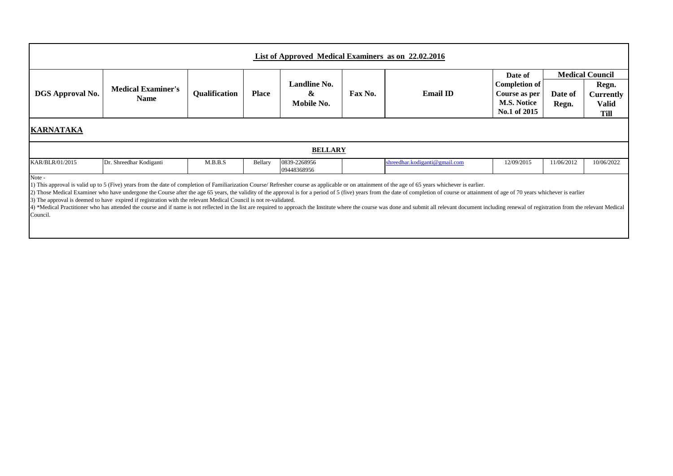|                         | List of Approved Medical Examiners as on 22,02,2016 |                      |              |                                        |         |                 |                                                                                        |                  |                                                                             |  |  |  |
|-------------------------|-----------------------------------------------------|----------------------|--------------|----------------------------------------|---------|-----------------|----------------------------------------------------------------------------------------|------------------|-----------------------------------------------------------------------------|--|--|--|
| <b>DGS Approval No.</b> | <b>Medical Examiner's</b><br><b>Name</b>            | <b>Qualification</b> | <b>Place</b> | <b>Landline No.</b><br>&<br>Mobile No. | Fax No. | <b>Email ID</b> | Date of<br><b>Completion of</b><br>Course as per<br><b>M.S. Notice</b><br>No.1 of 2015 | Date of<br>Regn. | <b>Medical Council</b><br>Regn.<br>Currently<br><b>Valid</b><br><b>Till</b> |  |  |  |

### **KARNATAKA**

|                 |                         |         |         | <b>BELLARY</b> |                                   |            |            |            |
|-----------------|-------------------------|---------|---------|----------------|-----------------------------------|------------|------------|------------|
| KAR/BLR/01/2015 | Dr. Shreedhar Kodiganti | M.B.B.S | Bellary | 0839-2268956   | $\sh$ reedhar.kodiganti@gmail.com | 12/09/2015 | 11/06/2012 | 10/06/2022 |
|                 |                         |         |         | 09448368956    |                                   |            |            |            |
| Note -          |                         |         |         |                |                                   |            |            |            |

1) This approval is valid up to 5 (Five) years from the date of completion of Familiarization Course/ Refresher course as applicable or on attainment of the age of 65 years whichever is earlier.

2) Those Medical Examiner who have undergone the Course after the age 65 years, the validity of the approval is for a period of 5 (five) years from the date of completion of course or attainment of age of 70 years whicheve 3) The approval is deemed to have expired if registration with the relevant Medical Council is not re-validated.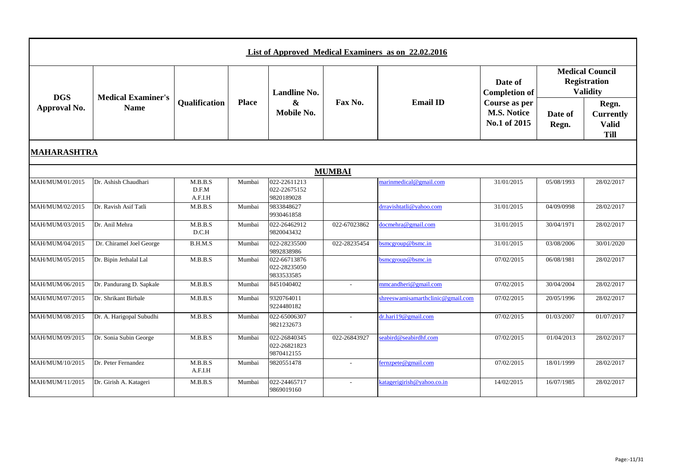|                 |                           |                             |              |                                            |                             | List of Approved Medical Examiners as on 22.02.2016 |                                                     |                                                                  |                                                          |
|-----------------|---------------------------|-----------------------------|--------------|--------------------------------------------|-----------------------------|-----------------------------------------------------|-----------------------------------------------------|------------------------------------------------------------------|----------------------------------------------------------|
| <b>DGS</b>      | <b>Medical Examiner's</b> |                             |              | <b>Landline No.</b>                        |                             |                                                     | Date of<br><b>Completion of</b>                     | <b>Medical Council</b><br><b>Registration</b><br><b>Validity</b> |                                                          |
| Approval No.    | <b>Name</b>               | <b>Qualification</b>        | <b>Place</b> | $\boldsymbol{\&}$<br><b>Mobile No.</b>     | Fax No.                     | <b>Email ID</b>                                     | Course as per<br><b>M.S. Notice</b><br>No.1 of 2015 | Date of<br>Regn.                                                 | Regn.<br><b>Currently</b><br><b>Valid</b><br><b>Till</b> |
| MAHARASHTRA     |                           |                             |              |                                            |                             |                                                     |                                                     |                                                                  |                                                          |
|                 |                           |                             |              |                                            | <b>MUMBAI</b>               |                                                     |                                                     |                                                                  |                                                          |
| MAH/MUM/01/2015 | Dr. Ashish Chaudhari      | M.B.B.S<br>D.F.M<br>A.F.I.H | Mumbai       | 022-22611213<br>022-22675152<br>9820189028 |                             | marinmedical@gmail.com                              | 31/01/2015                                          | 05/08/1993                                                       | 28/02/2017                                               |
| MAH/MUM/02/2015 | Dr. Ravish Asif Tatli     | M.B.B.S                     | Mumbai       | 9833848627<br>9930461858                   |                             | drravishtatli@yahoo.com                             | 31/01/2015                                          | 04/09/0998                                                       | 28/02/2017                                               |
| MAH/MUM/03/2015 | Dr. Anil Mehra            | M.B.B.S<br>D.C.H            | Mumbai       | 022-26462912<br>9820043432                 | 022-67023862                | docmehra@gmail.com                                  | 31/01/2015                                          | 30/04/1971                                                       | 28/02/2017                                               |
| MAH/MUM/04/2015 | Dr. Chiramel Joel George  | B.H.M.S                     | Mumbai       | 022-28235500<br>9892838986                 | 022-28235454                | osmegroup@bsmc.in                                   | 31/01/2015                                          | 03/08/2006                                                       | 30/01/2020                                               |
| MAH/MUM/05/2015 | Dr. Bipin Jethalal Lal    | M.B.B.S                     | Mumbai       | 022-66713876<br>022-28235050<br>9833533585 |                             | osmcgroup@bsmc.in                                   | 07/02/2015                                          | 06/08/1981                                                       | 28/02/2017                                               |
| MAH/MUM/06/2015 | Dr. Pandurang D. Sapkale  | M.B.B.S                     | Mumbai       | 8451040402                                 | $\mathcal{L}_{\mathcal{A}}$ | mmcandheri@gmail.com                                | 07/02/2015                                          | 30/04/2004                                                       | 28/02/2017                                               |
| MAH/MUM/07/2015 | Dr. Shrikant Birbale      | M.B.B.S                     | Mumbai       | 9320764011<br>9224480182                   |                             | shreeswamisamarthclinic@gmail.com                   | 07/02/2015                                          | 20/05/1996                                                       | 28/02/2017                                               |
| MAH/MUM/08/2015 | Dr. A. Harigopal Subudhi  | M.B.B.S                     | Mumbai       | 022-65006307<br>9821232673                 | $\overline{a}$              | dr.hari19@gmail.com                                 | 07/02/2015                                          | 01/03/2007                                                       | 01/07/2017                                               |
| MAH/MUM/09/2015 | Dr. Sonia Subin George    | M.B.B.S                     | Mumbai       | 022-26840345<br>022-26821823<br>9870412155 | 022-26843927                | seabird@seabirdhf.com                               | 07/02/2015                                          | 01/04/2013                                                       | 28/02/2017                                               |
| MAH/MUM/10/2015 | Dr. Peter Fernandez       | M.B.B.S<br>A.F.I.H          | Mumbai       | 9820551478                                 | $\sim$                      | fernzpete@gmail.com                                 | 07/02/2015                                          | 18/01/1999                                                       | 28/02/2017                                               |
| MAH/MUM/11/2015 | Dr. Girish A. Katageri    | M.B.B.S                     | Mumbai       | 022-24465717<br>9869019160                 |                             | katagerigirish@yahoo.co.in                          | 14/02/2015                                          | 16/07/1985                                                       | 28/02/2017                                               |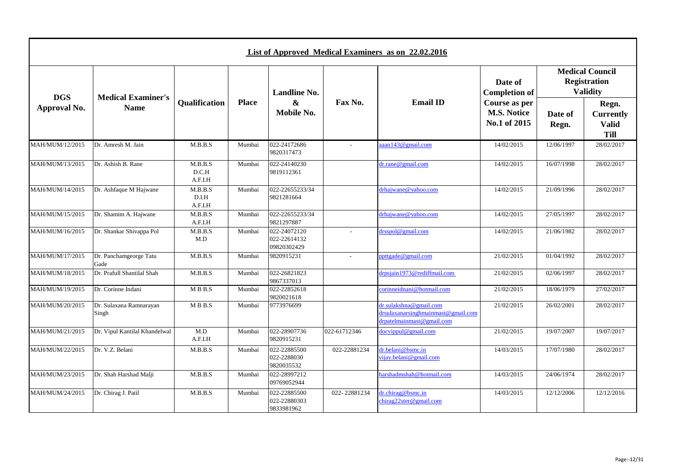|                            |                                          |                             |              |                                             |              | List of Approved Medical Examiners as on 22.02.2016                                       |                                                     |                                                                  |                                                          |
|----------------------------|------------------------------------------|-----------------------------|--------------|---------------------------------------------|--------------|-------------------------------------------------------------------------------------------|-----------------------------------------------------|------------------------------------------------------------------|----------------------------------------------------------|
|                            |                                          |                             |              | <b>Landline No.</b>                         |              |                                                                                           | Date of<br><b>Completion of</b>                     | <b>Medical Council</b><br><b>Registration</b><br><b>Validity</b> |                                                          |
| <b>DGS</b><br>Approval No. | <b>Medical Examiner's</b><br><b>Name</b> | <b>Qualification</b>        | <b>Place</b> | $\boldsymbol{\&}$<br>Mobile No.             | Fax No.      | <b>Email ID</b>                                                                           | Course as per<br><b>M.S. Notice</b><br>No.1 of 2015 | Date of<br>Regn.                                                 | Regn.<br><b>Currently</b><br><b>Valid</b><br><b>Till</b> |
| MAH/MUM/12/2015            | Dr. Amresh M. Jain                       | M.B.B.S                     | Mumbai       | 022-24172686<br>9820317473                  | $\sim$       | aaan143@gmail.com                                                                         | 14/02/2015                                          | 12/06/1997                                                       | 28/02/2017                                               |
| MAH/MUM/13/2015            | Dr. Ashish B. Rane                       | M.B.B.S<br>D.C.H<br>A.F.I.H | Mumbai       | 022-24140230<br>9819112361                  |              | dr.rane@gmail.com                                                                         | 14/02/2015                                          | 16/07/1998                                                       | 28/02/2017                                               |
| MAH/MUM/14/2015            | Dr. Ashfaque M Hajwane                   | M.B.B.S<br>D.I.H<br>A.F.I.H | Mumbai       | 022-22655233/34<br>9821281664               |              | drhajwane@yahoo.com                                                                       | 14/02/2015                                          | 21/09/1996                                                       | 28/02/2017                                               |
| MAH/MUM/15/2015            | Dr. Shamim A. Hajwane                    | M.B.B.S<br>A.F.I.H          | Mumbai       | 022-22655233/34<br>9821297887               |              | drhajwane@yahoo.com                                                                       | 14/02/2015                                          | 27/05/1997                                                       | 28/02/2017                                               |
| MAH/MUM/16/2015            | Dr. Shankar Shivappa Pol                 | M.B.B.S<br>M.D              | Mumbai       | 022-24072120<br>022-22614132<br>09820302429 |              | drsspol@gmail.com                                                                         | 14/02/2015                                          | 21/06/1982                                                       | 28/02/2017                                               |
| MAH/MUM/17/2015            | Dr. Panchamgeorge Tatu<br>Gade           | M.B.B.S                     | Mumbai       | 9820915231                                  | $\sim$       | ppttgade@gmail.com                                                                        | 21/02/2015                                          | 01/04/1992                                                       | 28/02/2017                                               |
| MAH/MUM/18/2015            | Dr. Prafull Shantilal Shah               | M.B.B.S                     | Mumbai       | 022-26821823<br>9867337013                  |              | drpsjain1973@rediffmail.com                                                               | 21/02/2015                                          | 02/06/1997                                                       | 28/02/2017                                               |
| MAH/MUM/19/2015            | Dr. Corinne Indani                       | MBB.S                       | Mumbai       | 022-22852618<br>9820021618                  |              | corinneidnani@hotmail.com                                                                 | 21/02/2015                                          | 18/06/1979                                                       | 27/02/2017                                               |
| MAH/MUM/20/2015            | Dr. Sulaxana Ramnarayan<br>Singh         | MBB.S                       | Mumbai       | 9773976699                                  |              | dr.sulakshna@gmail.com<br>drsulaxanarsinghmainmast@gmail.com<br>drpatelmainmast@gmail.com | 21/02/2015                                          | 26/02/2001                                                       | 28/02/2017                                               |
| MAH/MUM/21/2015            | Dr. Vipul Kantilal Khandelwal            | M.D<br>A.F.I.H              | Mumbai       | 022-28907736<br>9820915231                  | 022-61712346 | docvippul@gmail.com                                                                       | 21/02/2015                                          | 19/07/2007                                                       | 19/07/2017                                               |
| MAH/MUM/22/2015            | Dr. V.Z. Belani                          | M.B.B.S                     | Mumbai       | 022-22885500<br>022-2288030<br>9820035532   | 022-22881234 | dr.belani@bsmc.in<br>vijay.belani@gmail.com                                               | 14/03/2015                                          | 17/07/1980                                                       | 28/02/2017                                               |
| MAH/MUM/23/2015            | Dr. Shah Harshad Malji                   | M.B.B.S                     | Mumbai       | 022-28997212<br>09769052944                 |              | harshadmshah@hotmail.com                                                                  | 14/03/2015                                          | 24/06/1974                                                       | 28/02/2017                                               |
| MAH/MUM/24/2015            | Dr. Chirag J. Patil                      | M.B.B.S                     | Mumbai       | 022-22885500<br>022-22880303<br>9833981962  | 022-22881234 | dr.chirag@bsmc.in<br>chirag22ster@gmail.com                                               | 14/03/2015                                          | 12/12/2006                                                       | 12/12/2016                                               |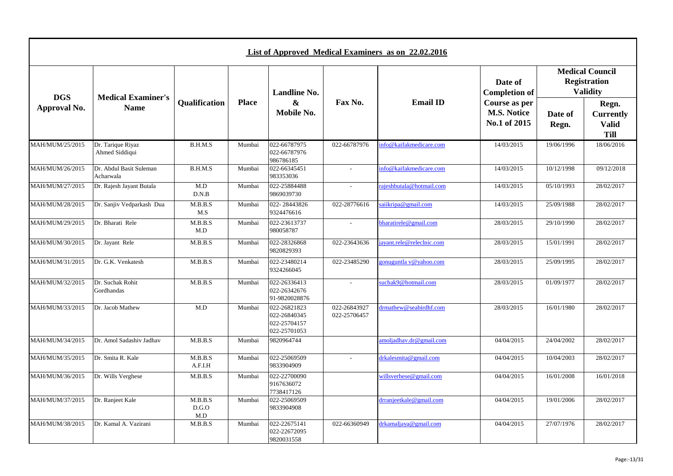|                 |                                          |                                                      |              |                                                              |                              | List of Approved Medical Examiners as on 22.02.2016 |                                                     |                  |                                                                  |
|-----------------|------------------------------------------|------------------------------------------------------|--------------|--------------------------------------------------------------|------------------------------|-----------------------------------------------------|-----------------------------------------------------|------------------|------------------------------------------------------------------|
| <b>DGS</b>      |                                          |                                                      |              | <b>Landline No.</b>                                          |                              |                                                     | Date of<br><b>Completion of</b>                     |                  | <b>Medical Council</b><br><b>Registration</b><br><b>Validity</b> |
| Approval No.    | <b>Medical Examiner's</b><br><b>Name</b> | <b>Oualification</b>                                 | <b>Place</b> | $\boldsymbol{\&}$<br>Mobile No.                              | Fax No.                      | <b>Email ID</b>                                     | Course as per<br><b>M.S. Notice</b><br>No.1 of 2015 | Date of<br>Regn. | Regn.<br><b>Currently</b><br><b>Valid</b><br><b>Till</b>         |
| MAH/MUM/25/2015 | Dr. Tarique Riyaz<br>Ahmed Siddiqui      | B.H.M.S                                              | Mumbai       | 022-66787975<br>022-66787976<br>986786185                    | 022-66787976                 | info@kaifakmedicare.com                             | 14/03/2015                                          | 19/06/1996       | 18/06/2016                                                       |
| MAH/MUM/26/2015 | Dr. Abdul Basit Suleman<br>Acharwala     | B.H.M.S                                              | Mumbai       | 022-66345451<br>983353036                                    | $\sim$                       | info@kaifakmedicare.com                             | 14/03/2015                                          | 10/12/1998       | 09/12/2018                                                       |
| MAH/MUM/27/2015 | Dr. Rajesh Jayant Butala                 | M.D<br>D.N.B                                         | Mumbai       | 022-25884488<br>9869039730                                   | $\sim$                       | rajeshbutala@hotmail.com                            | 14/03/2015                                          | 05/10/1993       | 28/02/2017                                                       |
| MAH/MUM/28/2015 | Dr. Sanjiv Vedparkash Dua                | M.B.B.S<br>M.S                                       | Mumbai       | 022-28443826<br>9324476616                                   | 022-28776616                 | saiikripa@gmail.com                                 | 14/03/2015                                          | 25/09/1988       | 28/02/2017                                                       |
| MAH/MUM/29/2015 | Dr. Bharati Rele                         | $\mathbf{M}.\mathbf{B}.\mathbf{B}.\mathbf{S}$<br>M.D | Mumbai       | 022-23613737<br>980058787                                    | $\sim$                       | bharatirele@gmail.com                               | 28/03/2015                                          | 29/10/1990       | 28/02/2017                                                       |
| MAH/MUM/30/2015 | Dr. Jayant Rele                          | M.B.B.S                                              | Mumbai       | 022-28326868<br>9820829393                                   | 022-23643636                 | jayant.rele@releclnic.com                           | 28/03/2015                                          | 15/01/1991       | 28/02/2017                                                       |
| MAH/MUM/31/2015 | Dr. G.K. Venkatesh                       | M.B.B.S                                              | Mumbai       | 022-23480214<br>9324266045                                   | 022-23485290                 | gonuguntla v@yahoo.com                              | 28/03/2015                                          | 25/09/1995       | 28/02/2017                                                       |
| MAH/MUM/32/2015 | Dr. Suchak Rohit<br>Gordhandas           | M.B.B.S                                              | Mumbai       | 022-26336413<br>022-26342676<br>91-9820028876                |                              | suchak9@hotmail.com                                 | 28/03/2015                                          | 01/09/1977       | 28/02/2017                                                       |
| MAH/MUM/33/2015 | Dr. Jacob Mathew                         | M.D                                                  | Mumbai       | 022-26821823<br>022-26840345<br>022-25704157<br>022-25701053 | 022-26843927<br>022-25706457 | drmathew@seabirdhf.com                              | 28/03/2015                                          | 16/01/1980       | 28/02/2017                                                       |
| MAH/MUM/34/2015 | Dr. Amol Sadashiy Jadhay                 | M.B.B.S                                              | Mumbai       | 9820964744                                                   |                              | amoljadhav.dr@gmail.com                             | 04/04/2015                                          | 24/04/2002       | 28/02/2017                                                       |
| MAH/MUM/35/2015 | Dr. Smita R. Kale                        | M.B.B.S<br>A.F.I.H                                   | Mumbai       | 022-25069509<br>9833904909                                   | $\sim$                       | drkalesmita@gmail.com                               | 04/04/2015                                          | 10/04/2003       | 28/02/2017                                                       |
| MAH/MUM/36/2015 | Dr. Wills Verghese                       | M.B.B.S                                              | Mumbai       | 022-22700090<br>9167636072<br>7738417126                     |                              | willsverhese@gmail.com                              | 04/04/2015                                          | 16/01/2008       | 16/01/2018                                                       |
| MAH/MUM/37/2015 | Dr. Ranjeet Kale                         | M.B.B.S<br>D.G.O<br>M.D                              | Mumbai       | 022-25069509<br>9833904908                                   |                              | drranjeetkale@gmail.com                             | 04/04/2015                                          | 19/01/2006       | 28/02/2017                                                       |
| MAH/MUM/38/2015 | Dr. Kamal A. Vazirani                    | M.B.B.S                                              | Mumbai       | 022-22675141<br>022-22672095<br>9820031558                   | 022-66360949                 | drkamaljaya@gmail.com                               | 04/04/2015                                          | 27/07/1976       | 28/02/2017                                                       |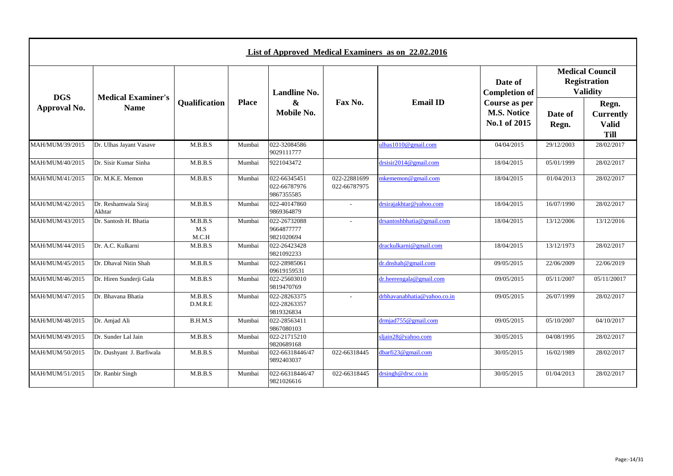|                 | List of Approved Medical Examiners as on 22.02.2016 |                         |              |                                            |                              |                             |                                                     |                  |                                                                  |  |  |  |  |  |
|-----------------|-----------------------------------------------------|-------------------------|--------------|--------------------------------------------|------------------------------|-----------------------------|-----------------------------------------------------|------------------|------------------------------------------------------------------|--|--|--|--|--|
| <b>DGS</b>      | <b>Medical Examiner's</b>                           |                         |              | <b>Landline No.</b>                        |                              |                             | Date of<br><b>Completion of</b>                     |                  | <b>Medical Council</b><br><b>Registration</b><br><b>Validity</b> |  |  |  |  |  |
| Approval No.    | <b>Name</b>                                         | <b>Qualification</b>    | <b>Place</b> | $\boldsymbol{\alpha}$<br>Mobile No.        | Fax No.                      | <b>Email ID</b>             | Course as per<br><b>M.S. Notice</b><br>No.1 of 2015 | Date of<br>Regn. | Regn.<br><b>Currently</b><br><b>Valid</b><br><b>Till</b>         |  |  |  |  |  |
| MAH/MUM/39/2015 | Dr. Ulhas Jayant Vasave                             | M.B.B.S                 | Mumbai       | 022-32084586<br>9029111777                 |                              | ulhas1010@gmail.com         | 04/04/2015                                          | 29/12/2003       | 28/02/2017                                                       |  |  |  |  |  |
| MAH/MUM/40/2015 | Dr. Sisir Kumar Sinha                               | M.B.B.S                 | Mumbai       | 9221043472                                 |                              | drsisir2014@gmail.com       | 18/04/2015                                          | 05/01/1999       | 28/02/2017                                                       |  |  |  |  |  |
| MAH/MUM/41/2015 | Dr. M.K.E. Memon                                    | M.B.B.S                 | Mumbai       | 022-66345451<br>022-66787976<br>9867355585 | 022-22881699<br>022-66787975 | mkememon@gmail.com          | 18/04/2015                                          | 01/04/2013       | 28/02/2017                                                       |  |  |  |  |  |
| MAH/MUM/42/2015 | Dr. Reshamwala Siraj<br>Akhtar                      | M.B.B.S                 | Mumbai       | 022-40147860<br>9869364879                 |                              | drsirajakhtar@yahoo.com     | 18/04/2015                                          | 16/07/1990       | 28/02/2017                                                       |  |  |  |  |  |
| MAH/MUM/43/2015 | Dr. Santosh H. Bhatia                               | M.B.B.S<br>M.S<br>M.C.H | Mumbai       | 022-26732088<br>9664877777<br>9821020694   |                              | drsantoshbhatia@gmail.com   | 18/04/2015                                          | 13/12/2006       | 13/12/2016                                                       |  |  |  |  |  |
| MAH/MUM/44/2015 | Dr. A.C. Kulkarni                                   | M.B.B.S                 | Mumbai       | 022-26423428<br>9821092233                 |                              | drackulkarni@gmail.com      | 18/04/2015                                          | 13/12/1973       | 28/02/2017                                                       |  |  |  |  |  |
| MAH/MUM/45/2015 | Dr. Dhaval Nitin Shah                               | M.B.B.S                 | Mumbai       | 022-28985061<br>09619159531                |                              | dr.dnshah@gmail.com         | 09/05/2015                                          | 22/06/2009       | 22/06/2019                                                       |  |  |  |  |  |
| MAH/MUM/46/2015 | Dr. Hiren Sunderji Gala                             | M.B.B.S                 | Mumbai       | 022-25603010<br>9819470769                 |                              | dr.heerengala@gmail.com     | 09/05/2015                                          | 05/11/2007       | 05/11/20017                                                      |  |  |  |  |  |
| MAH/MUM/47/2015 | Dr. Bhavana Bhatia                                  | M.B.B.S<br>D.M.R.E      | Mumbai       | 022-28263375<br>022-28263357<br>9819326834 |                              | drbhavanabhatia@yahoo.co.in | 09/05/2015                                          | 26/07/1999       | 28/02/2017                                                       |  |  |  |  |  |
| MAH/MUM/48/2015 | Dr. Amjad Ali                                       | B.H.M.S                 | Mumbai       | 022-28563411<br>9867080103                 |                              | drmiad755@gmail.com         | 09/05/2015                                          | 05/10/2007       | 04/10/2017                                                       |  |  |  |  |  |
| MAH/MUM/49/2015 | Dr. Sunder Lal Jain                                 | M.B.B.S                 | Mumbai       | 022-21715210<br>9820689168                 |                              | sljain28@yahoo.com          | 30/05/2015                                          | 04/08/1995       | 28/02/2017                                                       |  |  |  |  |  |
| MAH/MUM/50/2015 | Dr. Dushyant J. Barfiwala                           | M.B.B.S                 | Mumbai       | 022-66318446/47<br>9892403037              | 022-66318445                 | dbarfi23@gmail.com          | 30/05/2015                                          | 16/02/1989       | 28/02/2017                                                       |  |  |  |  |  |
| MAH/MUM/51/2015 | Dr. Ranbir Singh                                    | M.B.B.S                 | Mumbai       | 022-66318446/47<br>9821026616              | 022-66318445                 | drsingh@drsc.co.in          | 30/05/2015                                          | 01/04/2013       | 28/02/2017                                                       |  |  |  |  |  |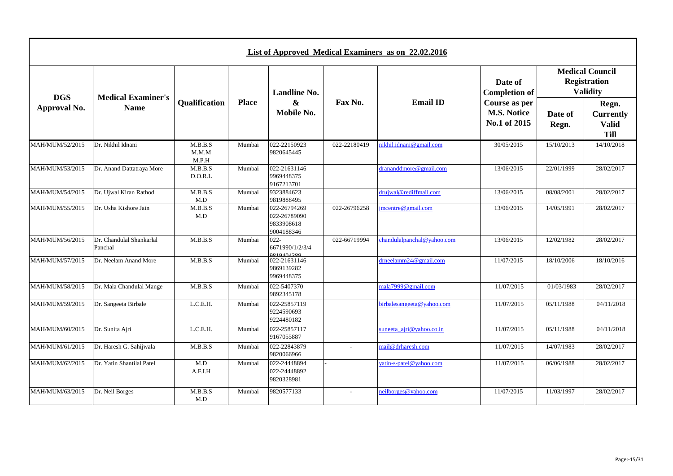|                 | List of Approved Medical Examiners as on 22.02.2016 |                           |              |                                                          |              |                            |                                                     |                  |                                                                  |  |  |  |  |  |
|-----------------|-----------------------------------------------------|---------------------------|--------------|----------------------------------------------------------|--------------|----------------------------|-----------------------------------------------------|------------------|------------------------------------------------------------------|--|--|--|--|--|
| <b>DGS</b>      | <b>Medical Examiner's</b>                           |                           |              | <b>Landline No.</b>                                      |              |                            | Date of<br><b>Completion of</b>                     |                  | <b>Medical Council</b><br><b>Registration</b><br><b>Validity</b> |  |  |  |  |  |
| Approval No.    | <b>Name</b>                                         | <b>Qualification</b>      | <b>Place</b> | $\boldsymbol{\&}$<br><b>Mobile No.</b>                   | Fax No.      | <b>Email ID</b>            | Course as per<br><b>M.S. Notice</b><br>No.1 of 2015 | Date of<br>Regn. | Regn.<br><b>Currently</b><br><b>Valid</b><br><b>Till</b>         |  |  |  |  |  |
| MAH/MUM/52/2015 | Dr. Nikhil Idnani                                   | M.B.B.S<br>M.M.M<br>M.P.H | Mumbai       | 022-22150923<br>9820645445                               | 022-22180419 | nikhil.idnani@gmail.com    | 30/05/2015                                          | 15/10/2013       | 14/10/2018                                                       |  |  |  |  |  |
| MAH/MUM/53/2015 | Dr. Anand Dattatraya More                           | M.B.B.S<br>D.O.R.L        | Mumbai       | 022-21631146<br>9969448375<br>9167213701                 |              | drananddmore@gmail.com     | 13/06/2015                                          | 22/01/1999       | 28/02/2017                                                       |  |  |  |  |  |
| MAH/MUM/54/2015 | Dr. Ujwal Kiran Rathod                              | M.B.B.S<br>M.D            | Mumbai       | 9323884623<br>9819888495                                 |              | drujwal@rediffmail.com     | 13/06/2015                                          | 08/08/2001       | 28/02/2017                                                       |  |  |  |  |  |
| MAH/MUM/55/2015 | Dr. Usha Kishore Jain                               | M.B.B.S<br>M.D            | Mumbai       | 022-26794269<br>022-26789090<br>9833908618<br>9004188346 | 022-26796258 | imcentre@gmail.com         | 13/06/2015                                          | 14/05/1991       | 28/02/2017                                                       |  |  |  |  |  |
| MAH/MUM/56/2015 | Dr. Chandulal Shankarlal<br>Panchal                 | M.B.B.S                   | Mumbai       | $022 -$<br>6671990/1/2/3/4<br>0810404380                 | 022-66719994 | chandulalpanchal@yahoo.com | 13/06/2015                                          | 12/02/1982       | 28/02/2017                                                       |  |  |  |  |  |
| MAH/MUM/57/2015 | Dr. Neelam Anand More                               | M.B.B.S                   | Mumbai       | 022-21631146<br>9869139282<br>9969448375                 |              | drneelamm24@gmail.com      | 11/07/2015                                          | 18/10/2006       | 18/10/2016                                                       |  |  |  |  |  |
| MAH/MUM/58/2015 | Dr. Mala Chandulal Mange                            | M.B.B.S                   | Mumbai       | 022-5407370<br>9892345178                                |              | mala7999@gmail.com         | 11/07/2015                                          | 01/03/1983       | 28/02/2017                                                       |  |  |  |  |  |
| MAH/MUM/59/2015 | Dr. Sangeeta Birbale                                | L.C.E.H.                  | Mumbai       | 022-25857119<br>9224590693<br>9224480182                 |              | birbalesangeeta@yahoo.com  | 11/07/2015                                          | 05/11/1988       | 04/11/2018                                                       |  |  |  |  |  |
| MAH/MUM/60/2015 | Dr. Sunita Ajri                                     | L.C.E.H.                  | Mumbai       | 022-25857117<br>9167055887                               |              | suneeta ajri@yahoo.co.in   | 11/07/2015                                          | 05/11/1988       | 04/11/2018                                                       |  |  |  |  |  |
| MAH/MUM/61/2015 | Dr. Haresh G. Sahijwala                             | M.B.B.S                   | Mumbai       | 022-22843879<br>9820066966                               |              | mail@drharesh.com          | 11/07/2015                                          | 14/07/1983       | 28/02/2017                                                       |  |  |  |  |  |
| MAH/MUM/62/2015 | Dr. Yatin Shantilal Patel                           | M.D<br>A.F.I.H            | Mumbai       | 022-24448894<br>022-24448892<br>9820328981               |              | yatin-s-patel@yahoo.com    | 11/07/2015                                          | 06/06/1988       | 28/02/2017                                                       |  |  |  |  |  |
| MAH/MUM/63/2015 | Dr. Neil Borges                                     | M.B.B.S<br>M.D            | Mumbai       | 9820577133                                               | $\sim$       | neilborges@yahoo.com       | 11/07/2015                                          | 11/03/1997       | 28/02/2017                                                       |  |  |  |  |  |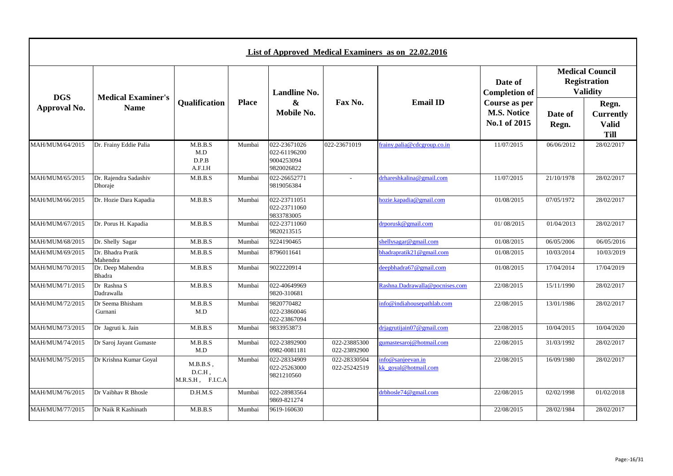|                 |                                  |                                        |              |                                                          |                              | List of Approved Medical Examiners as on 22.02.2016 |                                                     |                  |                                                                  |
|-----------------|----------------------------------|----------------------------------------|--------------|----------------------------------------------------------|------------------------------|-----------------------------------------------------|-----------------------------------------------------|------------------|------------------------------------------------------------------|
| <b>DGS</b>      | <b>Medical Examiner's</b>        |                                        |              | <b>Landline No.</b>                                      |                              |                                                     | Date of<br><b>Completion of</b>                     |                  | <b>Medical Council</b><br><b>Registration</b><br><b>Validity</b> |
| Approval No.    | <b>Name</b>                      | <b>Qualification</b>                   | <b>Place</b> | $\boldsymbol{\alpha}$<br>Mobile No.                      | Fax No.                      | <b>Email ID</b>                                     | Course as per<br><b>M.S. Notice</b><br>No.1 of 2015 | Date of<br>Regn. | Regn.<br><b>Currently</b><br><b>Valid</b><br><b>Till</b>         |
| MAH/MUM/64/2015 | Dr. Frainy Eddie Palia           | M.B.B.S<br>M.D<br>D.P.B<br>A.F.I.H     | Mumbai       | 022-23671026<br>022-61196200<br>9004253094<br>9820026822 | 022-23671019                 | frainy.palia@cdcgroup.co.in                         | 11/07/2015                                          | 06/06/2012       | 28/02/2017                                                       |
| MAH/MUM/65/2015 | Dr. Rajendra Sadashiv<br>Dhoraje | M.B.B.S                                | Mumbai       | 022-26652771<br>9819056384                               | $\mathbb{Z}^2$               | drhareshkalina@gmail.com                            | 11/07/2015                                          | 21/10/1978       | 28/02/2017                                                       |
| MAH/MUM/66/2015 | Dr. Hozie Dara Kapadia           | M.B.B.S                                | Mumbai       | 022-23711051<br>022-23711060<br>9833783005               |                              | hozie.kapadia@gmail.com                             | 01/08/2015                                          | 07/05/1972       | 28/02/2017                                                       |
| MAH/MUM/67/2015 | Dr. Porus H. Kapadia             | M.B.B.S                                | Mumbai       | 022-23711060<br>9820213515                               |                              | drporusk@gmail.com                                  | 01/08/2015                                          | 01/04/2013       | 28/02/2017                                                       |
| MAH/MUM/68/2015 | Dr. Shelly Sagar                 | M.B.B.S                                | Mumbai       | 9224190465                                               |                              | shellysagar@gmail.com                               | 01/08/2015                                          | 06/05/2006       | 06/05/2016                                                       |
| MAH/MUM/69/2015 | Dr. Bhadra Pratik<br>Mahendra    | M.B.B.S                                | Mumbai       | 8796011641                                               |                              | bhadrapratik21@gmail.com                            | 01/08/2015                                          | 10/03/2014       | 10/03/2019                                                       |
| MAH/MUM/70/2015 | Dr. Deep Mahendra<br>Bhadra      | M.B.B.S                                | Mumbai       | 9022220914                                               |                              | deepbhadra67@gmail.com                              | 01/08/2015                                          | 17/04/2014       | 17/04/2019                                                       |
| MAH/MUM/71/2015 | Dr Rashna S<br>Dadrawalla        | M.B.B.S                                | Mumbai       | 022-40649969<br>9820-310681                              |                              | Rashna.Dadrawalla@pocnises.com                      | 22/08/2015                                          | 15/11/1990       | 28/02/2017                                                       |
| MAH/MUM/72/2015 | Dr Seema Bhisham<br>Gurnani      | M.B.B.S<br>M.D                         | Mumbai       | 9820770482<br>022-23860046<br>022-23867094               |                              | info@indiahousepathlab.com                          | 22/08/2015                                          | 13/01/1986       | 28/02/2017                                                       |
| MAH/MUM/73/2015 | Dr Jagruti k. Jain               | M.B.B.S                                | Mumbai       | 9833953873                                               |                              | driagrutiain07@gmail.com                            | 22/08/2015                                          | 10/04/2015       | 10/04/2020                                                       |
| MAH/MUM/74/2015 | Dr Saroj Jayant Gumaste          | M.B.B.S<br>M.D                         | Mumbai       | 022-23892900<br>0982-0081181                             | 022-23885300<br>022-23892900 | gumastesaroj@hotmail.com                            | 22/08/2015                                          | 31/03/1992       | 28/02/2017                                                       |
| MAH/MUM/75/2015 | Dr Krishna Kumar Goyal           | M.B.B.S.<br>D.C.H.<br>M.R.S.H, F.I.C.A | Mumbai       | 022-28334909<br>022-25263000<br>9821210560               | 022-28330504<br>022-25242519 | info@sanjeevan.in<br>kk goyal@hotmail.com           | 22/08/2015                                          | 16/09/1980       | 28/02/2017                                                       |
| MAH/MUM/76/2015 | Dr Vaibhay R Bhosle              | D.H.M.S                                | Mumbai       | 022-28983564<br>9869-821274                              |                              | drbhosle74@gmail.com                                | 22/08/2015                                          | 02/02/1998       | 01/02/2018                                                       |
| MAH/MUM/77/2015 | Dr Naik R Kashinath              | M.B.B.S                                | Mumbai       | 9619-160630                                              |                              |                                                     | 22/08/2015                                          | 28/02/1984       | 28/02/2017                                                       |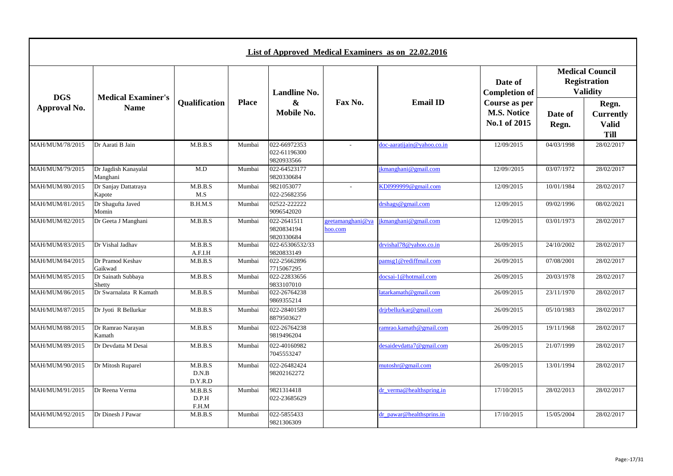|                 |                                  |                             |              |                                            |                             | <b>List of Approved Medical Examiners as on 22.02.2016</b> |                                                     |                  |                                                                  |
|-----------------|----------------------------------|-----------------------------|--------------|--------------------------------------------|-----------------------------|------------------------------------------------------------|-----------------------------------------------------|------------------|------------------------------------------------------------------|
| <b>DGS</b>      | <b>Medical Examiner's</b>        |                             |              | Landline No.                               |                             |                                                            | Date of<br><b>Completion of</b>                     |                  | <b>Medical Council</b><br><b>Registration</b><br><b>Validity</b> |
| Approval No.    | <b>Name</b>                      | <b>Oualification</b>        | <b>Place</b> | $\boldsymbol{\&}$<br>Mobile No.            | Fax No.                     | <b>Email ID</b>                                            | Course as per<br><b>M.S. Notice</b><br>No.1 of 2015 | Date of<br>Regn. | Regn.<br><b>Currently</b><br><b>Valid</b><br><b>Till</b>         |
| MAH/MUM/78/2015 | Dr Aarati B Jain                 | M.B.B.S                     | Mumbai       | 022-66972353<br>022-61196300<br>9820933566 |                             | doc-aaratijain@yahoo.co.in                                 | 12/09/2015                                          | 04/03/1998       | 28/02/2017                                                       |
| MAH/MUM/79/2015 | Dr Jagdish Kanayalal<br>Manghani | M.D                         | Mumbai       | 022-64523177<br>9820330684                 |                             | jkmanghani@gmail.com                                       | 12/09//2015                                         | 03/07/1972       | 28/02/2017                                                       |
| MAH/MUM/80/2015 | Dr Sanjay Dattatraya<br>Kapote   | M.B.B.S<br>M.S              | Mumbai       | 9821053077<br>022-25682356                 |                             | KDI999999@gmail.com                                        | 12/09/2015                                          | 10/01/1984       | 28/02/2017                                                       |
| MAH/MUM/81/2015 | Dr Shagufta Javed<br>Momin       | B.H.M.S                     | Mumbai       | 02522-222222<br>9096542020                 |                             | drshags@gmail.com                                          | 12/09/2015                                          | 09/02/1996       | 08/02/2021                                                       |
| MAH/MUM/82/2015 | Dr Geeta J Manghani              | M.B.B.S                     | Mumbai       | 022-2641511<br>9820834194<br>9820330684    | zeetamanghani@ya<br>hoo.com | kmanghani@gmail.com                                        | 12/09/2015                                          | 03/01/1973       | 28/02/2017                                                       |
| MAH/MUM/83/2015 | Dr Vishal Jadhav                 | M.B.B.S<br>A.F.I.H          | Mumbai       | 022-65306532/33<br>9820833149              |                             | drvishal78@vahoo.co.in                                     | 26/09/2015                                          | 24/10/2002       | 28/02/2017                                                       |
| MAH/MUM/84/2015 | Dr Pramod Keshav<br>Gaikwad      | M.B.B.S                     | Mumbai       | 022-25662896<br>7715067295                 |                             | pamsg1@rediffmail.com                                      | 26/09/2015                                          | 07/08/2001       | 28/02/2017                                                       |
| MAH/MUM/85/2015 | Dr Sainath Subbaya<br>Shetty     | M.B.B.S                     | Mumbai       | 022-22833656<br>9833107010                 |                             | docsai-1@hotmail.com                                       | 26/09/2015                                          | 20/03/1978       | 28/02/2017                                                       |
| MAH/MUM/86/2015 | Dr Swarnalata R Kamath           | M.B.B.S                     | Mumbai       | 022-26764238<br>9869355214                 |                             | latarkamath@gmail.com                                      | 26/09/2015                                          | 23/11/1970       | 28/02/2017                                                       |
| MAH/MUM/87/2015 | Dr Jyoti R Bellurkar             | M.B.B.S                     | Mumbai       | 022-28401589<br>8879503627                 |                             | drjrbellurkar@gmail.com                                    | 26/09/2015                                          | 05/10/1983       | 28/02/2017                                                       |
| MAH/MUM/88/2015 | Dr Ramrao Narayan<br>Kamath      | M.B.B.S                     | Mumbai       | 022-26764238<br>9819496204                 |                             | ramrao.kamath@gmail.com                                    | 26/09/2015                                          | 19/11/1968       | 28/02/2017                                                       |
| MAH/MUM/89/2015 | Dr Devdatta M Desai              | M.B.B.S                     | Mumbai       | 022-40160982<br>7045553247                 |                             | desaidevdatta7@gmail.com                                   | 26/09/2015                                          | 21/07/1999       | 28/02/2017                                                       |
| MAH/MUM/90/2015 | Dr Mitosh Ruparel                | M.B.B.S<br>D.N.B<br>D.Y.R.D | Mumbai       | 022-26482424<br>98202162272                |                             | mutoshr@gmail.com                                          | 26/09/2015                                          | 13/01/1994       | 28/02/2017                                                       |
| MAH/MUM/91/2015 | Dr Reena Verma                   | M.B.B.S<br>D.P.H<br>F.H.M   | Mumbai       | 9821314418<br>022-23685629                 |                             | dr_verma@healthspring.in                                   | 17/10/2015                                          | 28/02/2013       | 28/02/2017                                                       |
| MAH/MUM/92/2015 | Dr Dinesh J Pawar                | M.B.B.S                     | Mumbai       | 022-5855433<br>9821306309                  |                             | dr_pawar@healthsprins.in                                   | 17/10/2015                                          | 15/05/2004       | 28/02/2017                                                       |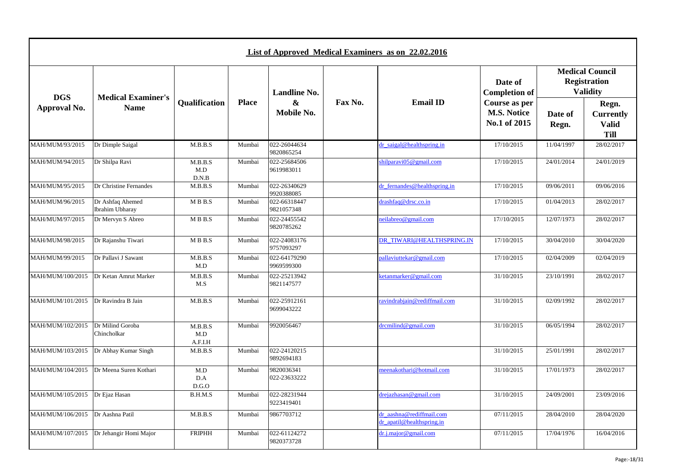|                  |                                            |                           |              |                                 |         | List of Approved Medical Examiners as on 22.02.2016   |                                                     |                  |                                                                  |
|------------------|--------------------------------------------|---------------------------|--------------|---------------------------------|---------|-------------------------------------------------------|-----------------------------------------------------|------------------|------------------------------------------------------------------|
| <b>DGS</b>       |                                            |                           |              | <b>Landline No.</b>             |         |                                                       | Date of<br><b>Completion of</b>                     |                  | <b>Medical Council</b><br><b>Registration</b><br><b>Validity</b> |
| Approval No.     | <b>Medical Examiner's</b><br><b>Name</b>   | <b>Qualification</b>      | <b>Place</b> | $\pmb{\&}$<br><b>Mobile No.</b> | Fax No. | <b>Email ID</b>                                       | Course as per<br><b>M.S. Notice</b><br>No.1 of 2015 | Date of<br>Regn. | Regn.<br><b>Currently</b><br><b>Valid</b><br><b>Till</b>         |
| MAH/MUM/93/2015  | Dr Dimple Saigal                           | M.B.B.S                   | Mumbai       | 022-26044634<br>9820865254      |         | dr saigal@healthspring.in                             | 17/10/2015                                          | 11/04/1997       | 28/02/2017                                                       |
| MAH/MUM/94/2015  | Dr Shilpa Ravi                             | M.B.B.S<br>M.D<br>D.N.B   | Mumbai       | 022-25684506<br>9619983011      |         | shilparavi05@gmail.com                                | 17/10/2015                                          | 24/01/2014       | 24/01/2019                                                       |
| MAH/MUM/95/2015  | Dr Christine Fernandes                     | M.B.B.S                   | Mumbai       | 022-26340629<br>9920388085      |         | dr_fernandes@healthspring.in                          | 17/10/2015                                          | 09/06/2011       | 09/06/2016                                                       |
| MAH/MUM/96/2015  | Dr Ashfaq Ahemed<br><b>Ibrahim Ubharay</b> | MBB.S                     | Mumbai       | 022-66318447<br>9821057348      |         | drashfaq@drsc.co.in                                   | 17/10/2015                                          | 01/04/2013       | 28/02/2017                                                       |
| MAH/MUM/97/2015  | Dr Mervyn S Abreo                          | MBB.S                     | Mumbai       | 022-24455542<br>9820785262      |         | neilabreo@gmail.com                                   | 17//10/2015                                         | 12/07/1973       | 28/02/2017                                                       |
| MAH/MUM/98/2015  | Dr Rajanshu Tiwari                         | MBB.S                     | Mumbai       | 022-24083176<br>9757093297      |         | DR_TIWARI@HEALTHSPRING.IN                             | 17/10/2015                                          | 30/04/2010       | 30/04/2020                                                       |
| MAH/MUM/99/2015  | Dr Pallavi J Sawant                        | M.B.B.S<br>M.D            | Mumbai       | 022-64179290<br>9969599300      |         | pallaviuttekar@gmail.com                              | 17/10/2015                                          | 02/04/2009       | 02/04/2019                                                       |
| MAH/MUM/100/2015 | Dr Ketan Amrut Marker                      | M.B.B.S<br>M.S            | Mumbai       | 022-25213942<br>9821147577      |         | cetanmarker@gmail.com                                 | 31/10/2015                                          | 23/10/1991       | 28/02/2017                                                       |
| MAH/MUM/101/2015 | Dr Ravindra B Jain                         | M.B.B.S                   | Mumbai       | 022-25912161<br>9699043222      |         | ravindrabjain@rediffmail.com                          | 31/10/2015                                          | 02/09/1992       | 28/02/2017                                                       |
| MAH/MUM/102/2015 | Dr Milind Goroba<br>Chincholkar            | M.B.B.S<br>M.D<br>A.F.I.H | Mumbai       | 9920056467                      |         | dremilind@gmail.com                                   | 31/10/2015                                          | 06/05/1994       | 28/02/2017                                                       |
| MAH/MUM/103/2015 | Dr Abhay Kumar Singh                       | M.B.B.S                   | Mumbai       | 022-24120215<br>9892694183      |         |                                                       | 31/10/2015                                          | 25/01/1991       | 28/02/2017                                                       |
| MAH/MUM/104/2015 | Dr Meena Suren Kothari                     | $\rm M.D$<br>D.A<br>D.G.O | Mumbai       | 9820036341<br>022-23633222      |         | meenakothari@hotmail.com                              | 31/10/2015                                          | 17/01/1973       | 28/02/2017                                                       |
| MAH/MUM/105/2015 | Dr Ejaz Hasan                              | B.H.M.S                   | Mumbai       | 022-28231944<br>9223419401      |         | drejazhasan@gmail.com                                 | 31/10/2015                                          | 24/09/2001       | 23/09/2016                                                       |
| MAH/MUM/106/2015 | Dr Aashna Patil                            | M.B.B.S                   | Mumbai       | 9867703712                      |         | dr aashna@rediffmail.com<br>dr_apatil@healthspring.in | 07/11/2015                                          | 28/04/2010       | 28/04/2020                                                       |
| MAH/MUM/107/2015 | Dr Jehangir Homi Major                     | <b>FRIPHH</b>             | Mumbai       | 022-61124272<br>9820373728      |         | $dr$ . j. major@gmail.com                             | 07/11/2015                                          | 17/04/1976       | 16/04/2016                                                       |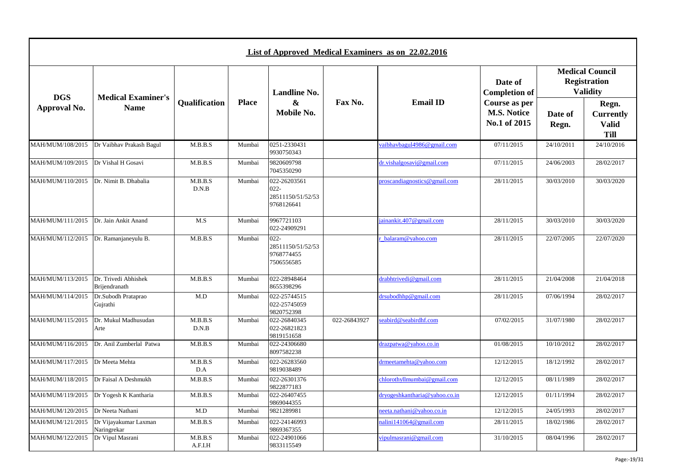|                  |                                       |                      |              |                                                            |              | <b>List of Approved Medical Examiners as on 22.02.2016</b> |                                                     |                  |                                                                  |
|------------------|---------------------------------------|----------------------|--------------|------------------------------------------------------------|--------------|------------------------------------------------------------|-----------------------------------------------------|------------------|------------------------------------------------------------------|
| <b>DGS</b>       | <b>Medical Examiner's</b>             |                      |              | <b>Landline No.</b>                                        |              |                                                            | Date of<br><b>Completion of</b>                     |                  | <b>Medical Council</b><br><b>Registration</b><br><b>Validity</b> |
| Approval No.     | <b>Name</b>                           | <b>Qualification</b> | <b>Place</b> | $\boldsymbol{\&}$<br>Mobile No.                            | Fax No.      | <b>Email ID</b>                                            | Course as per<br><b>M.S. Notice</b><br>No.1 of 2015 | Date of<br>Regn. | Regn.<br><b>Currently</b><br><b>Valid</b><br><b>Till</b>         |
| MAH/MUM/108/2015 | Dr Vaibhav Prakash Bagul              | M.B.B.S              | Mumbai       | 0251-2330431<br>9930750343                                 |              | vaibhaybagul4986@gmail.com                                 | 07/11/2015                                          | 24/10/2011       | 24/10/2016                                                       |
| MAH/MUM/109/2015 | Dr Vishal H Gosavi                    | M.B.B.S              | Mumbai       | 9820609798<br>7045350290                                   |              | dr.vishalgosavi@gmail.com                                  | 07/11/2015                                          | 24/06/2003       | 28/02/2017                                                       |
| MAH/MUM/110/2015 | Dr. Nimit B. Dhabalia                 | M.B.B.S<br>D.N.B     | Mumbai       | 022-26203561<br>$022 -$<br>28511150/51/52/53<br>9768126641 |              | proscandiagnostics@gmail.com                               | 28/11/2015                                          | 30/03/2010       | 30/03/2020                                                       |
| MAH/MUM/111/2015 | Dr. Jain Ankit Anand                  | M.S                  | Mumbai       | 9967721103<br>022-24909291                                 |              | jainankit.407@gmail.com                                    | 28/11/2015                                          | 30/03/2010       | 30/03/2020                                                       |
| MAH/MUM/112/2015 | Dr. Ramanjaneyulu B.                  | M.B.B.S              | Mumbai       | $022 -$<br>28511150/51/52/53<br>9768774455<br>7506556585   |              | balaram@yahoo.com                                          | 28/11/2015                                          | 22/07/2005       | 22/07/2020                                                       |
| MAH/MUM/113/2015 | Dr. Trivedi Abhishek<br>Brijendranath | M.B.B.S              | Mumbai       | 022-28948464<br>8655398296                                 |              | drabhtrivedi@gmail.com                                     | 28/11/2015                                          | 21/04/2008       | 21/04/2018                                                       |
| MAH/MUM/114/2015 | Dr.Subodh Prataprao<br>Gujrathi       | M.D                  | Mumbai       | 022-25744515<br>022-25745059<br>9820752398                 |              | drsubodhhp@gmail.com                                       | 28/11/2015                                          | 07/06/1994       | 28/02/2017                                                       |
| MAH/MUM/115/2015 | Dr. Mukul Madhusudan<br>Arte          | M.B.B.S<br>D.N.B     | Mumbai       | 022-26840345<br>022-26821823<br>9819151658                 | 022-26843927 | seabird@seabirdhf.com                                      | 07/02/2015                                          | 31/07/1980       | 28/02/2017                                                       |
| MAH/MUM/116/2015 | Dr. Anil Zumberlal Patwa              | M.B.B.S              | Mumbai       | 022-24306680<br>8097582238                                 |              | drazpatwa@yahoo.co.in                                      | 01/08/2015                                          | 10/10/2012       | 28/02/2017                                                       |
| MAH/MUM/117/2015 | Dr Meeta Mehta                        | M.B.B.S<br>D.A       | Mumbai       | 022-26283560<br>9819038489                                 |              | drmeetamehta@yahoo.com                                     | 12/12/2015                                          | 18/12/1992       | 28/02/2017                                                       |
| MAH/MUM/118/2015 | Dr Faisal A Deshmukh                  | M.B.B.S              | Mumbai       | 022-26301376<br>9822877183                                 |              | chlorothyllmumbai@gmail.com                                | 12/12/2015                                          | 08/11/1989       | 28/02/2017                                                       |
| MAH/MUM/119/2015 | Dr Yogesh K Kantharia                 | M.B.B.S              | Mumbai       | 022-26407455<br>9869044355                                 |              | dryogeshkantharia@yahoo.co.in                              | 12/12/2015                                          | 01/11/1994       | 28/02/2017                                                       |
| MAH/MUM/120/2015 | Dr Neeta Nathani                      | M.D                  | Mumbai       | 9821289981                                                 |              | neeta.nathani@yahoo.co.in                                  | 12/12/2015                                          | 24/05/1993       | 28/02/2017                                                       |
| MAH/MUM/121/2015 | Dr Vijayakumar Laxman<br>Naringrekar  | M.B.B.S              | Mumbai       | 022-24146993<br>9869367355                                 |              | nalini141064@gmail.com                                     | 28/11/2015                                          | 18/02/1986       | 28/02/2017                                                       |
| MAH/MUM/122/2015 | Dr Vipul Masrani                      | M.B.B.S<br>A.F.I.H   | Mumbai       | 022-24901066<br>9833115549                                 |              | vipulmasrani@gmail.com                                     | 31/10/2015                                          | 08/04/1996       | 28/02/2017                                                       |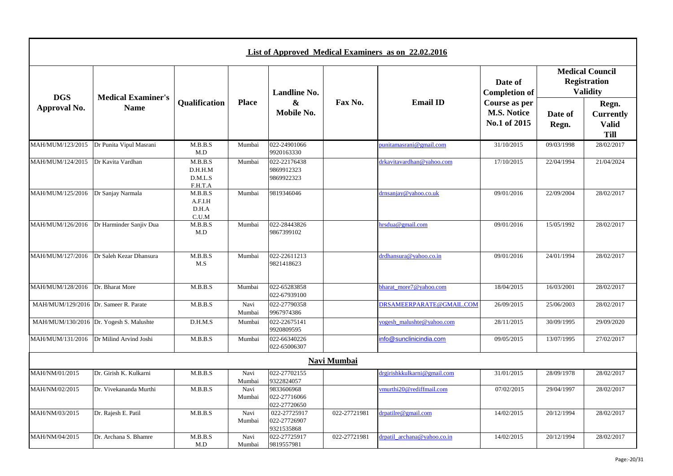|                                       |                                          |                                          |                |                                            |              | <b>List of Approved Medical Examiners as on 22.02.2016</b> |                                                     |                  |                                                                  |
|---------------------------------------|------------------------------------------|------------------------------------------|----------------|--------------------------------------------|--------------|------------------------------------------------------------|-----------------------------------------------------|------------------|------------------------------------------------------------------|
| <b>DGS</b>                            |                                          |                                          |                | <b>Landline No.</b>                        |              |                                                            | Date of<br><b>Completion of</b>                     |                  | <b>Medical Council</b><br><b>Registration</b><br><b>Validity</b> |
| Approval No.                          | <b>Medical Examiner's</b><br><b>Name</b> | Qualification                            | <b>Place</b>   | $\pmb{\&}$<br><b>Mobile No.</b>            | Fax No.      | <b>Email ID</b>                                            | Course as per<br><b>M.S. Notice</b><br>No.1 of 2015 | Date of<br>Regn. | Regn.<br><b>Currently</b><br><b>Valid</b><br><b>Till</b>         |
| MAH/MUM/123/2015                      | Dr Punita Vipul Masrani                  | M.B.B.S<br>M.D                           | Mumbai         | 022-24901066<br>9920163330                 |              | punitamasrani@gmail.com                                    | 31/10/2015                                          | 09/03/1998       | 28/02/2017                                                       |
| MAH/MUM/124/2015                      | Dr Kavita Vardhan                        | M.B.B.S<br>D.H.H.M<br>D.M.L.S<br>F.H.T.A | Mumbai         | 022-22176438<br>9869912323<br>9869922323   |              | drkavitavardhan@yahoo.com                                  | 17/10/2015                                          | 22/04/1994       | 21/04/2024                                                       |
| MAH/MUM/125/2016 Dr Sanjay Narmala    |                                          | M.B.B.S<br>A.F.I.H<br>D.H.A<br>C.U.M     | Mumbai         | 9819346046                                 |              | drnsanjay@yahoo.co.uk                                      | 09/01/2016                                          | 22/09/2004       | 28/02/2017                                                       |
| MAH/MUM/126/2016                      | Dr Harminder Sanjiv Dua                  | M.B.B.S<br>M.D                           | Mumbai         | 022-28443826<br>9867399102                 |              | hrsdua@gmail.com                                           | 09/01/2016                                          | 15/05/1992       | 28/02/2017                                                       |
| MAH/MUM/127/2016                      | Dr Saleh Kezar Dhansura                  | M.B.B.S<br>M.S                           | Mumbai         | 022-22611213<br>9821418623                 |              | drdhansura@yahoo.co.in                                     | 09/01/2016                                          | 24/01/1994       | 28/02/2017                                                       |
| MAH/MUM/128/2016 Dr. Bharat More      |                                          | M.B.B.S                                  | Mumbai         | 022-65283858<br>022-67939100               |              | bharat_more7@yahoo.com                                     | 18/04/2015                                          | 16/03/2001       | 28/02/2017                                                       |
| MAH/MUM/129/2016 Dr. Sameer R. Parate |                                          | M.B.B.S                                  | Navi<br>Mumbai | 022-27790358<br>9967974386                 |              | DRSAMEERPARATE@GMAIL.COM                                   | 26/09/2015                                          | 25/06/2003       | 28/02/2017                                                       |
|                                       | MAH/MUM/130/2016 Dr. Yogesh S. Malushte  | D.H.M.S                                  | Mumbai         | 022-22675141<br>9920809595                 |              | ogesh_malushte@yahoo.com                                   | 28/11/2015                                          | 30/09/1995       | 29/09/2020                                                       |
| MAH/MUM/131/2016                      | Dr Milind Arvind Joshi                   | M.B.B.S                                  | Mumbai         | 022-66340226<br>022-65006307               |              | info@sunclinicindia.com                                    | 09/05/2015                                          | 13/07/1995       | 27/02/2017                                                       |
|                                       |                                          |                                          |                |                                            | Navi Mumbai  |                                                            |                                                     |                  |                                                                  |
| MAH/NM/01/2015                        | Dr. Girish K. Kulkarni                   | M.B.B.S                                  | Navi<br>Mumbai | 022-27702155<br>9322824057                 |              | drgirishkkulkarni@gmail.com                                | 31/01/2015                                          | 28/09/1978       | 28/02/2017                                                       |
| MAH/NM/02/2015                        | Dr. Vivekananda Murthi                   | M.B.B.S                                  | Navi<br>Mumbai | 9833606968<br>022-27716066<br>022-27720650 |              | vmurthi20@rediffmail.com                                   | 07/02/2015                                          | 29/04/1997       | 28/02/2017                                                       |
| MAH/NM/03/2015                        | Dr. Rajesh E. Patil                      | M.B.B.S                                  | Navi<br>Mumbai | 022-27725917<br>022-27726907<br>9321535868 | 022-27721981 | drpatilre@gmail.com                                        | 14/02/2015                                          | 20/12/1994       | 28/02/2017                                                       |
| MAH/NM/04/2015                        | Dr. Archana S. Bhamre                    | M.B.B.S<br>M.D                           | Navi<br>Mumbai | 022-27725917<br>9819557981                 | 022-27721981 | drpatil archana@yahoo.co.in                                | 14/02/2015                                          | 20/12/1994       | 28/02/2017                                                       |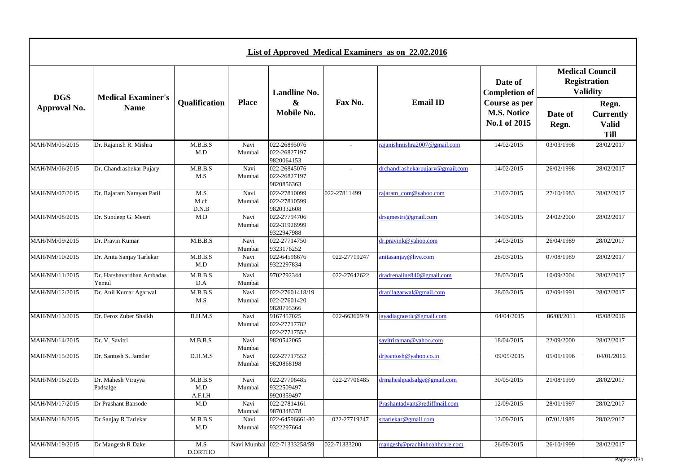|                |                                    |                                    |                |                                               |              | <b>List of Approved Medical Examiners as on 22.02.2016</b> |                                                     |                  |                                                                  |
|----------------|------------------------------------|------------------------------------|----------------|-----------------------------------------------|--------------|------------------------------------------------------------|-----------------------------------------------------|------------------|------------------------------------------------------------------|
| <b>DGS</b>     | <b>Medical Examiner's</b>          |                                    |                | <b>Landline No.</b>                           |              |                                                            | Date of<br><b>Completion of</b>                     |                  | <b>Medical Council</b><br><b>Registration</b><br><b>Validity</b> |
| Approval No.   | <b>Name</b>                        | Qualification                      | <b>Place</b>   | $\boldsymbol{\&}$<br>Mobile No.               | Fax No.      | <b>Email ID</b>                                            | Course as per<br><b>M.S. Notice</b><br>No.1 of 2015 | Date of<br>Regn. | Regn.<br><b>Currently</b><br><b>Valid</b><br><b>Till</b>         |
| MAH/NM/05/2015 | Dr. Rajanish R. Mishra             | M.B.B.S<br>M.D                     | Navi<br>Mumbai | 022-26895076<br>022-26827197<br>9820064153    |              | rajanishmishra2007@gmail.com                               | 14/02/2015                                          | 03/03/1998       | 28/02/2017                                                       |
| MAH/NM/06/2015 | Dr. Chandrashekar Pujary           | M.B.B.S<br>M.S                     | Navi<br>Mumbai | 022-26845076<br>022-26827197<br>9820856363    |              | drchandrashekarpujary@gmail.com                            | 14/02/2015                                          | 26/02/1998       | 28/02/2017                                                       |
| MAH/NM/07/2015 | Dr. Rajaram Narayan Patil          | $\rm M.S$<br>M.ch<br>D.N.B         | Navi<br>Mumbai | 022-27810099<br>022-27810599<br>9820332608    | 022-27811499 | rajaram_com@yahoo.com                                      | 21/02/2015                                          | 27/10/1983       | 28/02/2017                                                       |
| MAH/NM/08/2015 | Dr. Sundeep G. Mestri              | M.D                                | Navi<br>Mumbai | 022-27794706<br>022-31926999<br>9322947988    |              | drsgmestri@gmail.com                                       | 14/03/2015                                          | 24/02/2000       | 28/02/2017                                                       |
| MAH/NM/09/2015 | Dr. Pravin Kumar                   | M.B.B.S                            | Navi<br>Mumbai | 022-27714750<br>9323176252                    |              | dr.pravink@vahoo.com                                       | 14/03/2015                                          | 26/04/1989       | 28/02/2017                                                       |
| MAH/NM/10/2015 | Dr. Anita Sanjay Tarlekar          | M.B.B.S<br>M.D                     | Navi<br>Mumbai | 022-64596676<br>9322297834                    | 022-27719247 | anitasanjay@live.com                                       | 28/03/2015                                          | 07/08/1989       | 28/02/2017                                                       |
| MAH/NM/11/2015 | Dr. Harshavardhan Ambadas<br>Yemul | M.B.B.S<br>D.A                     | Navi<br>Mumbai | 9702792344                                    | 022-27642622 | dradrenaline840@gmail.com                                  | 28/03/2015                                          | 10/09/2004       | 28/02/2017                                                       |
| MAH/NM/12/2015 | Dr. Anil Kumar Agarwal             | M.B.B.S<br>M.S                     | Navi<br>Mumbai | 022-27601418/19<br>022-27601420<br>9820795366 |              | dranilagarwal@gmail.com                                    | 28/03/2015                                          | 02/09/1991       | 28/02/2017                                                       |
| MAH/NM/13/2015 | Dr. Feroz Zuber Shaikh             | B.H.M.S                            | Navi<br>Mumbai | 9167457025<br>022-27717782<br>022-27717552    | 022-66360949 | jayadiagnostic@gmail.com                                   | 04/04/2015                                          | 06/08/2011       | 05/08/2016                                                       |
| MAH/NM/14/2015 | Dr. V. Savitri                     | M.B.B.S                            | Navi<br>Mumbai | 9820542065                                    |              | savitriraman@yahoo.com                                     | 18/04/2015                                          | 22/09/2000       | 28/02/2017                                                       |
| MAH/NM/15/2015 | Dr. Santosh S. Jamdar              | D.H.M.S                            | Navi<br>Mumbai | 022-27717552<br>9820868198                    |              | drjsantosh@yahoo.co.in                                     | 09/05/2015                                          | 05/01/1996       | 04/01/2016                                                       |
| MAH/NM/16/2015 | Dr. Mahesh Virayya<br>Padsalge     | M.B.B.S<br>M.D<br>A.F.I.H          | Navi<br>Mumbai | 022-27706485<br>9322509497<br>9920359497      | 022-27706485 | drmaheshpadsalge@gmail.com                                 | 30/05/2015                                          | 21/08/1999       | 28/02/2017                                                       |
| MAH/NM/17/2015 | Dr Prashant Bansode                | M.D                                | Navi<br>Mumbai | 022-27814161<br>9870348378                    |              | Prashantadvait@rediffmail.com                              | 12/09/2015                                          | 28/01/1997       | 28/02/2017                                                       |
| MAH/NM/18/2015 | Dr Sanjay R Tarlekar               | M.B.B.S<br>M.D                     | Navi<br>Mumbai | 022-64596661-80<br>9322297664                 | 022-27719247 | srtarlekar@gmail.com                                       | 12/09/2015                                          | 07/01/1989       | 28/02/2017                                                       |
| MAH/NM/19/2015 | Dr Mangesh R Dake                  | $\mathbf{M}.\mathbf{S}$<br>D.ORTHO |                | Navi Mumbai 022-71333258/59                   | 022-71333200 | mangesh@prachinhealthcare.com                              | 26/09/2015                                          | 26/10/1999       | 28/02/2017                                                       |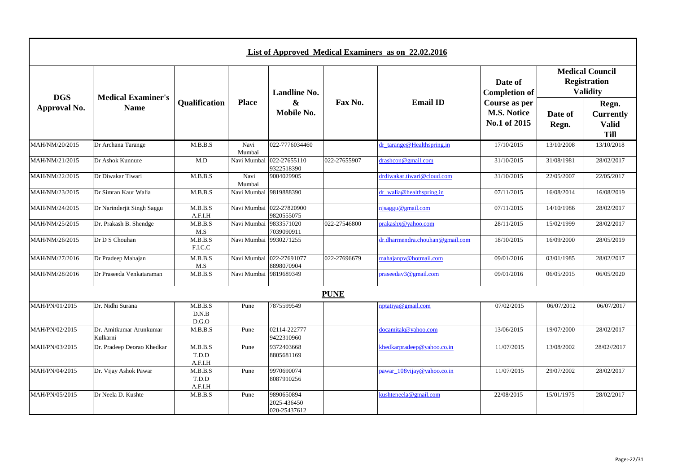|                            |                                          |                             |                        |                                           |              | List of Approved Medical Examiners as on 22.02.2016 |                                                     |                  |                                                                  |
|----------------------------|------------------------------------------|-----------------------------|------------------------|-------------------------------------------|--------------|-----------------------------------------------------|-----------------------------------------------------|------------------|------------------------------------------------------------------|
|                            |                                          |                             |                        | <b>Landline No.</b>                       |              |                                                     | Date of<br><b>Completion of</b>                     |                  | <b>Medical Council</b><br><b>Registration</b><br><b>Validity</b> |
| <b>DGS</b><br>Approval No. | <b>Medical Examiner's</b><br><b>Name</b> | <b>Qualification</b>        | <b>Place</b>           | &<br>Mobile No.                           | Fax No.      | <b>Email ID</b>                                     | Course as per<br><b>M.S. Notice</b><br>No.1 of 2015 | Date of<br>Regn. | Regn.<br><b>Currently</b><br><b>Valid</b><br><b>Till</b>         |
| MAH/NM/20/2015             | Dr Archana Tarange                       | M.B.B.S                     | Navi<br>Mumbai         | 022-7776034460                            |              | dr_tarange@Healthspring.in                          | 17/10/2015                                          | 13/10/2008       | 13/10/2018                                                       |
| MAH/NM/21/2015             | Dr Ashok Kunnure                         | M.D                         | Navi Mumbai            | 022-27655110<br>9322518390                | 022-27655907 | drashcon@gmail.com                                  | 31/10/2015                                          | 31/08/1981       | 28/02/2017                                                       |
| MAH/NM/22/2015             | Dr Diwakar Tiwari                        | M.B.B.S                     | Navi<br>Mumbai         | 9004029905                                |              | drdiwakar.tiwari@cloud.com                          | 31/10/2015                                          | 22/05/2007       | 22/05/2017                                                       |
| MAH/NM/23/2015             | Dr Simran Kaur Walia                     | M.B.B.S                     | Navi Mumbai 9819888390 |                                           |              | $dr_\text{walia}$ @healthspring.in                  | 07/11/2015                                          | 16/08/2014       | 16/08/2019                                                       |
| MAH/NM/24/2015             | Dr Narinderjit Singh Saggu               | M.B.B.S<br>A.F.I.H          |                        | Navi Mumbai 022-27820900<br>9820555075    |              | njsaggu@gmail.com                                   | 07/11/2015                                          | 14/10/1986       | 28/02/2017                                                       |
| MAH/NM/25/2015             | Dr. Prakash B. Shendge                   | M.B.B.S<br>M.S              | Navi Mumbai            | 9833571020<br>7039090911                  | 022-27546800 | prakashx@yahoo.com                                  | 28/11/2015                                          | 15/02/1999       | 28/02/2017                                                       |
| MAH/NM/26/2015             | Dr D S Chouhan                           | M.B.B.S<br>F.I.C.C          | Navi Mumbai            | 9930271255                                |              | dr.dharmendra.chouhan@gmail.com                     | 18/10/2015                                          | 16/09/2000       | 28/05/2019                                                       |
| MAH/NM/27/2016             | Dr Pradeep Mahajan                       | M.B.B.S<br>M.S              | Navi Mumbai            | 022-27691077<br>8898070904                | 022-27696679 | mahajanpv@hotmail.com                               | 09/01/2016                                          | 03/01/1985       | 28/02/2017                                                       |
| MAH/NM/28/2016             | Dr Praseeda Venkataraman                 | M.B.B.S                     | Navi Mumbai            | 9819689349                                |              | praseeday3@gmail.com                                | 09/01/2016                                          | 06/05/2015       | 06/05/2020                                                       |
|                            |                                          |                             |                        |                                           | <b>PUNE</b>  |                                                     |                                                     |                  |                                                                  |
| MAH/PN/01/2015             | Dr. Nidhi Surana                         | M.B.B.S<br>D.N.B<br>D.G.O   | Pune                   | 7875599549                                |              | nptatiya@gmail.com                                  | 07/02/2015                                          | 06/07/2012       | 06/07/2017                                                       |
| MAH/PN/02/2015             | Dr. Amitkumar Arunkumar<br>Kulkarni      | M.B.B.S                     | Pune                   | 02114-222777<br>9422310960                |              | docamitak@yahoo.com                                 | 13/06/2015                                          | 19/07/2000       | 28/02/2017                                                       |
| MAH/PN/03/2015             | Dr. Pradeep Deorao Khedkar               | M.B.B.S<br>T.D.D<br>A.F.I.H | Pune                   | 9372403668<br>8805681169                  |              | khedkarpradeep@yahoo.co.in                          | 11/07/2015                                          | 13/08/2002       | 28/02//2017                                                      |
| MAH/PN/04/2015             | Dr. Vijay Ashok Pawar                    | M.B.B.S<br>T.D.D<br>A.F.I.H | Pune                   | 9970690074<br>8087910256                  |              | pawar_108vijay@yahoo.co.in                          | 11/07/2015                                          | 29/07/2002       | 28/02/2017                                                       |
| MAH/PN/05/2015             | Dr Neela D. Kushte                       | M.B.B.S                     | Pune                   | 9890650894<br>2025-436450<br>020-25437612 |              | kushteneela@gmail.com                               | 22/08/2015                                          | 15/01/1975       | 28/02/2017                                                       |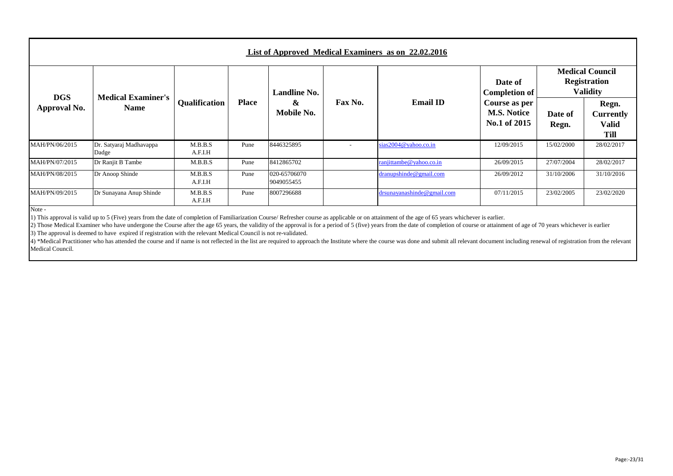|                            | List of Approved Medical Examiners as on 22.02.2016                                 |                      |              |                            |         |                            |                                                                  |                  |                                                   |  |  |  |  |  |
|----------------------------|-------------------------------------------------------------------------------------|----------------------|--------------|----------------------------|---------|----------------------------|------------------------------------------------------------------|------------------|---------------------------------------------------|--|--|--|--|--|
|                            | Date of<br><b>Landline No.</b><br><b>Completion of</b><br><b>Medical Examiner's</b> |                      |              |                            |         |                            | <b>Medical Council</b><br><b>Registration</b><br><b>Validity</b> |                  |                                                   |  |  |  |  |  |
| <b>DGS</b><br>Approval No. | <b>Name</b>                                                                         | <b>Qualification</b> | <b>Place</b> | &<br>Mobile No.            | Fax No. | <b>Email ID</b>            | Course as per<br><b>M.S. Notice</b><br>No.1 of 2015              | Date of<br>Regn. | Regn.<br><b>Currently</b><br><b>Valid</b><br>Till |  |  |  |  |  |
| MAH/PN/06/2015             | Dr. Satyaraj Madhavappa<br>Dadge                                                    | M.B.B.S<br>A.F.I.H   | Pune         | 8446325895                 |         | sias2004@yahoo.co.in       | 12/09/2015                                                       | 15/02/2000       | 28/02/2017                                        |  |  |  |  |  |
| MAH/PN/07/2015             | Dr Ranjit B Tambe                                                                   | M.B.B.S              | Pune         | 8412865702                 |         | ranjittambe@yahoo.co.in    | 26/09/2015                                                       | 27/07/2004       | 28/02/2017                                        |  |  |  |  |  |
| MAH/PN/08/2015             | Dr Anoop Shinde                                                                     | M.B.B.S<br>A.F.I.H   | Pune         | 020-65706070<br>9049055455 |         | dranupshinde@gmail.com     | 26/09/2012                                                       | 31/10/2006       | 31/10/2016                                        |  |  |  |  |  |
| MAH/PN/09/2015             | Dr Sunayana Anup Shinde                                                             | M.B.B.S<br>A.F.I.H   | Pune         | 8007296688                 |         | drsunayanashinde@gmail.com | 07/11/2015                                                       | 23/02/2005       | 23/02/2020                                        |  |  |  |  |  |

1) This approval is valid up to 5 (Five) years from the date of completion of Familiarization Course/ Refresher course as applicable or on attainment of the age of 65 years whichever is earlier.

2) Those Medical Examiner who have undergone the Course after the age 65 years, the validity of the approval is for a period of 5 (five) years from the date of completion of course or attainment of age of 70 years whicheve 3) The approval is deemed to have expired if registration with the relevant Medical Council is not re-validated.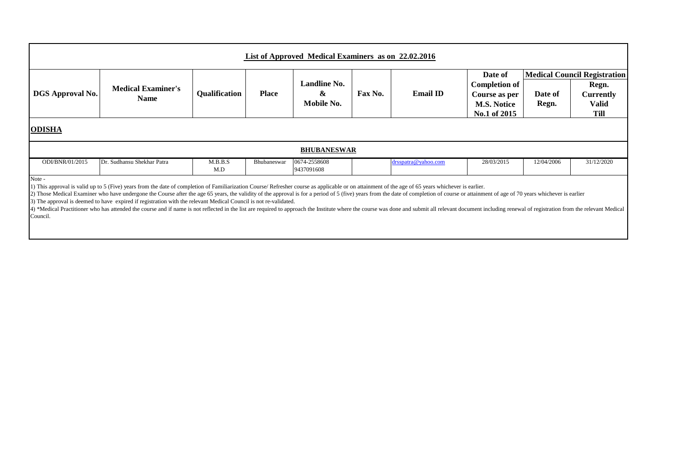| List of Approved Medical Examiners as on 22.02.2016                                                                                                                           |                                                                                                                                                                                                                                                                                                                                                                                                                                                                                                                                                                                                                                                                                                                                                                                           |                      |              |                                        |         |                 |                                                                                        |                  |                                                                                          |  |  |  |
|-------------------------------------------------------------------------------------------------------------------------------------------------------------------------------|-------------------------------------------------------------------------------------------------------------------------------------------------------------------------------------------------------------------------------------------------------------------------------------------------------------------------------------------------------------------------------------------------------------------------------------------------------------------------------------------------------------------------------------------------------------------------------------------------------------------------------------------------------------------------------------------------------------------------------------------------------------------------------------------|----------------------|--------------|----------------------------------------|---------|-----------------|----------------------------------------------------------------------------------------|------------------|------------------------------------------------------------------------------------------|--|--|--|
| <b>DGS</b> Approval No.                                                                                                                                                       | <b>Medical Examiner's</b><br><b>Name</b>                                                                                                                                                                                                                                                                                                                                                                                                                                                                                                                                                                                                                                                                                                                                                  | <b>Qualification</b> | <b>Place</b> | <b>Landline No.</b><br>&<br>Mobile No. | Fax No. | <b>Email ID</b> | Date of<br><b>Completion of</b><br>Course as per<br><b>M.S. Notice</b><br>No.1 of 2015 | Date of<br>Regn. | <b>Medical Council Registration</b><br>Regn.<br><b>Currently</b><br><b>Valid</b><br>Till |  |  |  |
| <b>ODISHA</b>                                                                                                                                                                 |                                                                                                                                                                                                                                                                                                                                                                                                                                                                                                                                                                                                                                                                                                                                                                                           |                      |              |                                        |         |                 |                                                                                        |                  |                                                                                          |  |  |  |
|                                                                                                                                                                               |                                                                                                                                                                                                                                                                                                                                                                                                                                                                                                                                                                                                                                                                                                                                                                                           |                      |              | <b>BHUBANESWAR</b>                     |         |                 |                                                                                        |                  |                                                                                          |  |  |  |
| Dr. Sudhansu Shekhar Patra<br>0674-2558608<br>ODI/BNR/01/2015<br>M.B.B.S<br>drsspatra@yahoo.com<br>28/03/2015<br>12/04/2006<br>31/12/2020<br>Bhubaneswar<br>M.D<br>9437091608 |                                                                                                                                                                                                                                                                                                                                                                                                                                                                                                                                                                                                                                                                                                                                                                                           |                      |              |                                        |         |                 |                                                                                        |                  |                                                                                          |  |  |  |
| Note -                                                                                                                                                                        | 1) This approval is valid up to 5 (Five) years from the date of completion of Familiarization Course/Refresher course as applicable or on attainment of the age of 65 years whichever is earlier.<br>2) Those Medical Examiner who have undergone the Course after the age 65 years, the validity of the approval is for a period of 5 (five) years from the date of completion of course or attainment of age of 70 years whicheve<br>3) The approval is deemed to have expired if registration with the relevant Medical Council is not re-validated.<br>A SM Both December 19, and the come of Henry to an official to the top comediate manual the come of come of column and control of colonism of controlled the come of the colonism of the colonism of the colonism of the colon |                      |              |                                        |         |                 |                                                                                        |                  |                                                                                          |  |  |  |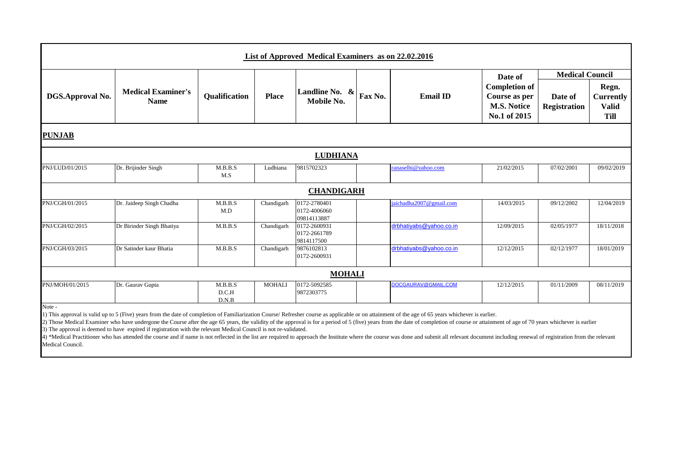|                           |                                          |                           |               | <b>List of Approved Medical Examiners as on 22.02.2016</b> |         |                         |                                                                                        |                                                          |                                                          |
|---------------------------|------------------------------------------|---------------------------|---------------|------------------------------------------------------------|---------|-------------------------|----------------------------------------------------------------------------------------|----------------------------------------------------------|----------------------------------------------------------|
| DGS.Approval No.          | <b>Medical Examiner's</b><br><b>Name</b> | Qualification             | <b>Place</b>  | Landline No. &<br>Mobile No.                               | Fax No. | <b>Email ID</b>         | Date of<br><b>Completion of</b><br>Course as per<br><b>M.S. Notice</b><br>No.1 of 2015 | <b>Medical Council</b><br>Date of<br><b>Registration</b> | Regn.<br><b>Currently</b><br><b>Valid</b><br><b>Till</b> |
| <b>PUNJAB</b>             |                                          |                           |               |                                                            |         |                         |                                                                                        |                                                          |                                                          |
|                           |                                          |                           |               | <b>LUDHIANA</b>                                            |         |                         |                                                                                        |                                                          |                                                          |
| PNJ/LUD/01/2015           | Dr. Brijinder Singh                      | M.B.B.S<br>M.S            | Ludhiana      | 9815702323                                                 |         | ranaselhi@yahoo.com     | 21/02/2015                                                                             | 07/02/2001                                               | 09/02/2019                                               |
|                           |                                          |                           |               | <b>CHANDIGARH</b>                                          |         |                         |                                                                                        |                                                          |                                                          |
| PNJ/CGH/01/2015           | Dr. Jaideep Singh Chadha                 | M.B.B.S<br>M.D            | Chandigarh    | 0172-2780401<br>0172-4006060<br>09814113887                |         | jaichadha2007@gmail.com | 14/03/2015                                                                             | 09/12/2002                                               | 12/04/2019                                               |
| PNJ/CGH/02/2015           | Dr Birinder Singh Bhatiya                | M.B.B.S                   | Chandigarh    | 0172-2600931<br>0172-2661789<br>9814117500                 |         | drbhatiyabs@yahoo.co.in | 12/09/2015                                                                             | 02/05/1977                                               | 18/11/2018                                               |
| PNJ/CGH/03/2015           | Dr Satinder kaur Bhatia                  | M.B.B.S                   | Chandigarh    | 9876102813<br>0172-2600931                                 |         | drbhatiyabs@yahoo.co.in | 12/12/2015                                                                             | 02/12/1977                                               | 18/01/2019                                               |
|                           |                                          |                           |               | <b>MOHALI</b>                                              |         |                         |                                                                                        |                                                          |                                                          |
| PNJ/MOH/01/2015<br>Note - | Dr. Gaurav Gupta                         | M.B.B.S<br>D.C.H<br>D.N.B | <b>MOHALI</b> | 0172-5092585<br>9872303775                                 |         | DOCGAURAV@GMAIL.COM     | 12/12/2015                                                                             | 01/11/2009                                               | 08/11/2019                                               |
|                           |                                          |                           |               |                                                            |         |                         |                                                                                        |                                                          |                                                          |

1) This approval is valid up to 5 (Five) years from the date of completion of Familiarization Course/ Refresher course as applicable or on attainment of the age of 65 years whichever is earlier.

2) Those Medical Examiner who have undergone the Course after the age 65 years, the validity of the approval is for a period of 5 (five) years from the date of completion of course or attainment of age of 70 years whicheve 3) The approval is deemed to have expired if registration with the relevant Medical Council is not re-validated.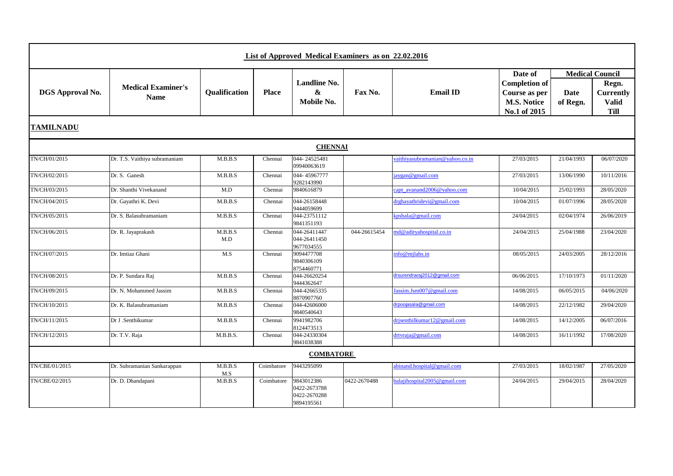|                         |                                          |                      |              | List of Approved Medical Examiners as on 22.02.2016      |              |                                      |                                                                                        |                  |                                                                                    |
|-------------------------|------------------------------------------|----------------------|--------------|----------------------------------------------------------|--------------|--------------------------------------|----------------------------------------------------------------------------------------|------------------|------------------------------------------------------------------------------------|
| <b>DGS</b> Approval No. | <b>Medical Examiner's</b><br><b>Name</b> | <b>Qualification</b> | <b>Place</b> | <b>Landline No.</b><br>$\boldsymbol{\&}$<br>Mobile No.   | Fax No.      | <b>Email ID</b>                      | Date of<br><b>Completion of</b><br>Course as per<br><b>M.S. Notice</b><br>No.1 of 2015 | Date<br>of Regn. | <b>Medical Council</b><br>Regn.<br><b>Currently</b><br><b>Valid</b><br><b>Till</b> |
| <b>TAMILNADU</b>        |                                          |                      |              |                                                          |              |                                      |                                                                                        |                  |                                                                                    |
|                         |                                          |                      |              | <b>CHENNAI</b>                                           |              |                                      |                                                                                        |                  |                                                                                    |
| TN/CH/01/2015           | Dr. T.S. Vaithiya subramaniam            | M.B.B.S              | Chennai      | 044-24525481<br>09940063619                              |              | vaithiyasubramanian@yahoo.co.in      | 27/03/2015                                                                             | 21/04/1993       | 06/07/2020                                                                         |
| TN/CH/02/2015           | Dr. S. Ganesh                            | M.B.B.S              | Chennai      | 044-45967777<br>9282143990                               |              | aygan@gmail.com                      | 27/03/2015                                                                             | 13/06/1990       | 10/11/2016                                                                         |
| TN/CH/03/2015           | Dr. Shanthi Vivekanand                   | M.D                  | Chennai      | 9840616879                                               |              | apt avanand2006@yahoo.com            | 10/04/2015                                                                             | 25/02/1993       | 28/05/2020                                                                         |
| TN/CH/04/2015           | Dr. Gayathri K. Devi                     | M.B.B.S              | Chennai      | 044-26158448<br>9444059699                               |              | drghayathridevi@gmail.com            | 10/04/2015                                                                             | 01/07/1996       | 28/05/2020                                                                         |
| TN/CH/05/2015           | Dr. S. Balasubramaniam                   | M.B.B.S              | Chennai      | 044-23751112<br>9841351193                               |              | cpsbala@gmail.com                    | 24/04/2015                                                                             | 02/04/1974       | 26/06/2019                                                                         |
| TN/CH/06/2015           | Dr. R. Jayaprakash                       | M.B.B.S<br>M.D       | Chennai      | 044-26411447<br>044-26411450<br>9677034555               | 044-26615454 | nd@aditvahospital.co.in              | 24/04/2015                                                                             | 25/04/1988       | 23/04/2020                                                                         |
| TN/CH/07/2015           | Dr. Imtiaz Ghani                         | M.S                  | Chennai      | 9094477708<br>9840306109<br>8754460771                   |              | nfo@mjlabs.in                        | 08/05/2015                                                                             | 24/03/2005       | 28/12/2016                                                                         |
| TN/CH/08/2015           | Dr. P. Sundara Raj                       | M.B.B.S              | Chennai      | 044-26620254<br>9444362647                               |              | Irsurendraraj2012@gmail.com          | 06/06/2015                                                                             | 17/10/1973       | 01/11/2020                                                                         |
| TN/CH/09/2015           | Dr. N. Mohammed Jassim                   | M.B.B.S              | Chennai      | 044-42665335<br>8870907760                               |              | $\frac{1}{2}$ assim.Jsm007@gmail.com | 14/08/2015                                                                             | 06/05/2015       | 04/06/2020                                                                         |
| TN/CH/10/2015           | Dr. K. Balasubramaniam                   | M.B.B.S              | Chennai      | 044-42606000<br>9840540643                               |              | drpoojasala@gmail.com                | 14/08/2015                                                                             | 22/12/1982       | 29/04/2020                                                                         |
| TN/CH/11/2015           | Dr J .Senthikumar                        | M.B.B.S              | Chennai      | 9941982706<br>8124473513                                 |              | drjsenthilkumar12@gmail.com          | 14/08/2015                                                                             | 14/12/2005       | 06/07/2016                                                                         |
| TN/CH/12/2015           | Dr. T.V. Raja                            | M.B.B.S.             | Chennai      | 044-24330304<br>9841038388                               |              | drtvraja@gmail.com                   | 14/08/2015                                                                             | 16/11/1992       | 17/08/2020                                                                         |
|                         |                                          |                      |              | <b>COMBATORE</b>                                         |              |                                      |                                                                                        |                  |                                                                                    |
| TN/CBE/01/2015          | Dr. Subramanian Sankarappan              | M.B.B.S<br>M.S       | Coimbatore   | 9443295099                                               |              | abinand.hospital@gmail.com           | 27/03/2015                                                                             | 18/02/1987       | 27/05/2020                                                                         |
| TN/CBE/02/2015          | Dr. D. Dhandapani                        | M.B.B.S              | Coimbatore   | 9843012386<br>0422-2673788<br>0422-2670288<br>9894195561 | 0422-2670488 | valajihospital2005@gmail.com         | 24/04/2015                                                                             | 29/04/2015       | 28/04/2020                                                                         |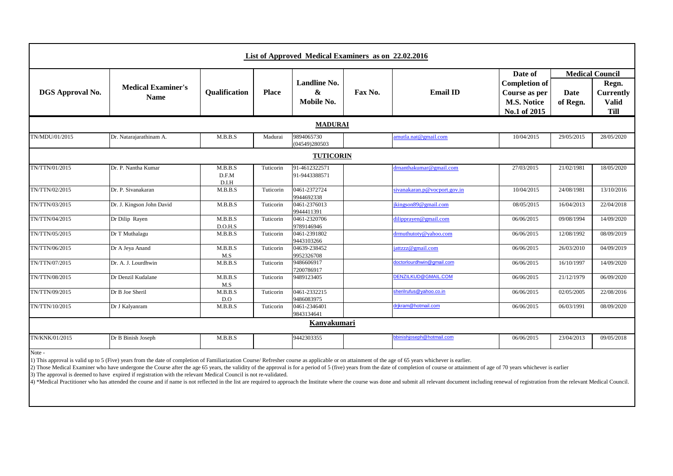|                         |                                                                                                                                                                                                    |                           |              | List of Approved Medical Examiners as on 22.02.2016 |         |                                                                                                                                                                                                                                |                                                                             |                  |                                                          |
|-------------------------|----------------------------------------------------------------------------------------------------------------------------------------------------------------------------------------------------|---------------------------|--------------|-----------------------------------------------------|---------|--------------------------------------------------------------------------------------------------------------------------------------------------------------------------------------------------------------------------------|-----------------------------------------------------------------------------|------------------|----------------------------------------------------------|
|                         |                                                                                                                                                                                                    |                           |              | <b>Landline No.</b>                                 |         |                                                                                                                                                                                                                                | Date of                                                                     |                  | <b>Medical Council</b>                                   |
| <b>DGS</b> Approval No. | <b>Medical Examiner's</b><br><b>Name</b>                                                                                                                                                           | Qualification             | <b>Place</b> | &<br>Mobile No.                                     | Fax No. | <b>Email ID</b>                                                                                                                                                                                                                | <b>Completion of</b><br>Course as per<br><b>M.S. Notice</b><br>No.1 of 2015 | Date<br>of Regn. | Regn.<br><b>Currently</b><br><b>Valid</b><br><b>Till</b> |
|                         |                                                                                                                                                                                                    |                           |              | <b>MADURAI</b>                                      |         |                                                                                                                                                                                                                                |                                                                             |                  |                                                          |
| TN/MDU/01/2015          | Dr. Natarajarathinam A.                                                                                                                                                                            | M.B.B.S                   | Madurai      | 9894065730<br>(04549)280503                         |         | amutla.nat@gmail.com                                                                                                                                                                                                           | 10/04/2015                                                                  | 29/05/2015       | 28/05/2020                                               |
|                         |                                                                                                                                                                                                    |                           |              | <b>TUTICORIN</b>                                    |         |                                                                                                                                                                                                                                |                                                                             |                  |                                                          |
| TN/TTN/01/2015          | Dr. P. Nantha Kumar                                                                                                                                                                                | M.B.B.S<br>D.F.M<br>D.I.H | Tuticorin    | 91-4612322571<br>91-9443388571                      |         | drnanthakumar@gmail.com                                                                                                                                                                                                        | 27/03/2015                                                                  | 21/02/1981       | 18/05/2020                                               |
| TN/TTN/02/2015          | Dr. P. Sivanakaran                                                                                                                                                                                 | M.B.B.S                   | Tuticorin    | 0461-2372724<br>9944692338                          |         | siyanakaran.p@vocport.gov.in                                                                                                                                                                                                   | 10/04/2015                                                                  | 24/08/1981       | 13/10/2016                                               |
| TN/TTN/03/2015          | Dr. J. Kingson John David                                                                                                                                                                          | M.B.B.S                   | Tuticorin    | 0461-2376013<br>9944411391                          |         | kingson89@gmail.com                                                                                                                                                                                                            | 08/05/2015                                                                  | 16/04/2013       | 22/04/2018                                               |
| TN/TTN/04/2015          | Dr Dilip Rayen                                                                                                                                                                                     | M.B.B.S<br>D.O.H.S        | Tuticorin    | 0461-2320706<br>9789146946                          |         | dilippraven@gmail.com                                                                                                                                                                                                          | 06/06/2015                                                                  | 09/08/1994       | 14/09/2020                                               |
| TN/TTN/05/2015          | Dr T Muthalagu                                                                                                                                                                                     | M.B.B.S                   | Tuticorin    | 0461-2391802<br>9443103266                          |         | drmuthutoty@yahoo.com                                                                                                                                                                                                          | 06/06/2015                                                                  | 12/08/1992       | 08/09/2019                                               |
| TN/TTN/06/2015          | Dr A Jeya Anand                                                                                                                                                                                    | M.B.B.S<br>M.S            | Tuticorin    | 04639-238452<br>9952326708                          |         | attzzz@gmail.com                                                                                                                                                                                                               | 06/06/2015                                                                  | 26/03/2010       | 04/09/2019                                               |
| TN/TTN/07/2015          | Dr. A. J. Lourdhwin                                                                                                                                                                                | M.B.B.S                   | Tuticorin    | 9486606917<br>7200786917                            |         | doctorlourdhwin@gmail.com                                                                                                                                                                                                      | 06/06/2015                                                                  | 16/10/1997       | 14/09/2020                                               |
| TN/TTN/08/2015          | Dr Denzil Kudalane                                                                                                                                                                                 | M.B.B.S<br>M.S            | Tuticorin    | 9489123405                                          |         | <b>DENZILKUD@GMAIL.COM</b>                                                                                                                                                                                                     | 06/06/2015                                                                  | 21/12/1979       | 06/09/2020                                               |
| TN/TTN/09/2015          | Dr B Joe Sheril                                                                                                                                                                                    | M.B.B.S<br>D.O            | Tuticorin    | 0461-2332215<br>9486083975                          |         | herilrufus@yahoo.co.in                                                                                                                                                                                                         | 06/06/2015                                                                  | 02/05/2005       | 22/08/2016                                               |
| TN/TTN/10/2015          | Dr J Kalyanram                                                                                                                                                                                     | M.B.B.S                   | Tuticorin    | 0461-2346401<br>9843134641                          |         | drikram@hotmail.com                                                                                                                                                                                                            | 06/06/2015                                                                  | 06/03/1991       | 08/09/2020                                               |
|                         |                                                                                                                                                                                                    |                           |              | Kanyakumari                                         |         |                                                                                                                                                                                                                                |                                                                             |                  |                                                          |
| TN/KNK/01/2015          | Dr B Binish Joseph                                                                                                                                                                                 | M.B.B.S                   |              | 9442303355                                          |         | obinishioseph@hotmail.com                                                                                                                                                                                                      | 06/06/2015                                                                  | 23/04/2013       | 09/05/2018                                               |
| Note -                  | 1) This approval is valid up to 5 (Five) years from the date of completion of Familiarization Course/ Refresher course as applicable or on attainment of the age of 65 years whichever is earlier. |                           |              |                                                     |         | 2) Those Medical Examiner who have undergone the Course after the age 65 years, the validity of the approval is for a period of 5 (five) years from the date of completion of course or attainment of age of 70 years whicheve |                                                                             |                  |                                                          |

3) The approval is deemed to have expired if registration with the relevant Medical Council is not re-validated.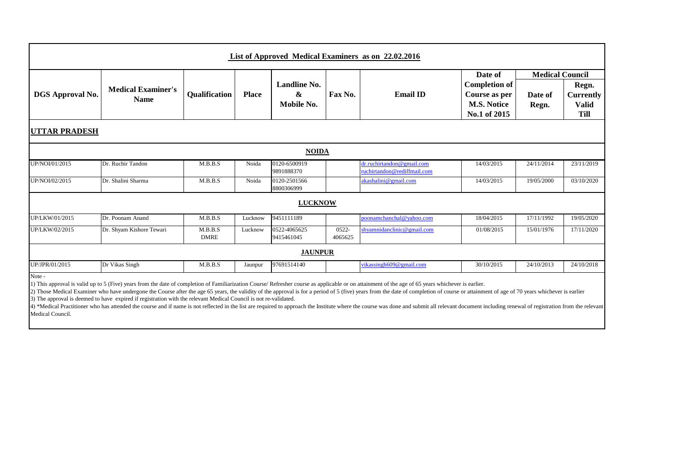|                         |                                          |                        |              |                                                        |                     | List of Approved Medical Examiners as on 22.02.2016      |                                                                             |                        |                                                          |
|-------------------------|------------------------------------------|------------------------|--------------|--------------------------------------------------------|---------------------|----------------------------------------------------------|-----------------------------------------------------------------------------|------------------------|----------------------------------------------------------|
|                         |                                          |                        |              |                                                        |                     |                                                          | Date of                                                                     | <b>Medical Council</b> |                                                          |
| <b>DGS</b> Approval No. | <b>Medical Examiner's</b><br><b>Name</b> | Qualification          | <b>Place</b> | <b>Landline No.</b><br>$\boldsymbol{\&}$<br>Mobile No. | Fax No.             | <b>Email ID</b>                                          | <b>Completion of</b><br>Course as per<br><b>M.S. Notice</b><br>No.1 of 2015 | Date of<br>Regn.       | Regn.<br><b>Currently</b><br><b>Valid</b><br><b>Till</b> |
| <b>UTTAR PRADESH</b>    |                                          |                        |              |                                                        |                     |                                                          |                                                                             |                        |                                                          |
|                         |                                          |                        |              | <b>NOIDA</b>                                           |                     |                                                          |                                                                             |                        |                                                          |
| UP/NOI/01/2015          | Dr. Ruchir Tandon                        | M.B.B.S                | Noida        | 0120-6500919<br>9891888370                             |                     | dr.ruchirtandon@gmail.com<br>ruchirtandon@rediffmail.com | 14/03/2015                                                                  | 24/11/2014             | 23/11/2019                                               |
| UP/NOI/02/2015          | Dr. Shalini Sharma                       | M.B.B.S                | Noida        | 0120-2501566<br>8800306999                             |                     | akashalini@gmail.com                                     | 14/03/2015                                                                  | 19/05/2000             | 03/10/2020                                               |
|                         |                                          |                        |              | <b>LUCKNOW</b>                                         |                     |                                                          |                                                                             |                        |                                                          |
| UP/LKW/01/2015          | Dr. Poonam Anand                         | M.B.B.S                | Lucknow      | 9451111189                                             |                     | poonamchanchal@yahoo.com                                 | 18/04/2015                                                                  | 17/11/1992             | 19/05/2020                                               |
| UP/LKW/02/2015          | Dr. Shyam Kishore Tewari                 | M.B.B.S<br><b>DMRE</b> | Lucknow      | 0522-4065625<br>9415461045                             | $0522 -$<br>4065625 | shyamnidanclinic@gmail.com                               | 01/08/2015                                                                  | 15/01/1976             | 17/11/2020                                               |
|                         |                                          |                        |              | <b>JAUNPUR</b>                                         |                     |                                                          |                                                                             |                        |                                                          |
| UP/JPR/01/2015          | Dr Vikas Singh                           | M.B.B.S                | Jaunpur      | 97691514140                                            |                     | vikassingh609@gmail.com                                  | 30/10/2015                                                                  | 24/10/2013             | 24/10/2018                                               |
| Note -                  |                                          |                        |              |                                                        |                     |                                                          |                                                                             |                        |                                                          |

1) This approval is valid up to 5 (Five) years from the date of completion of Familiarization Course/ Refresher course as applicable or on attainment of the age of 65 years whichever is earlier.

2) Those Medical Examiner who have undergone the Course after the age 65 years, the validity of the approval is for a period of 5 (five) years from the date of completion of course or attainment of age of 70 years whicheve 3) The approval is deemed to have expired if registration with the relevant Medical Council is not re-validated.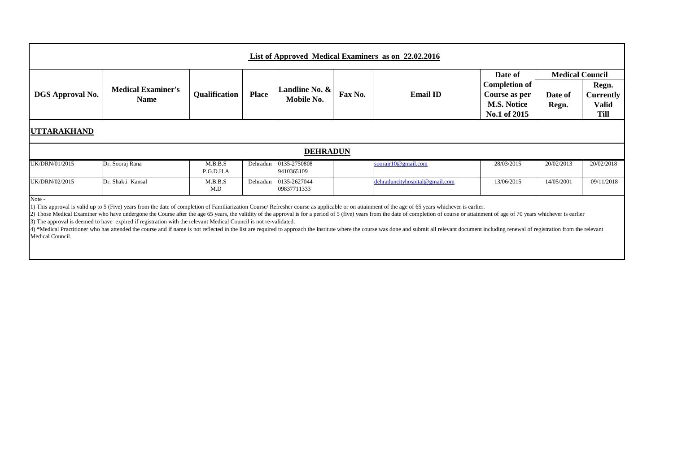| List of Approved Medical Examiners as on 22.02.2016 |                                          |                      |              |                                |         |                 |                                                                                        |                                            |                                                          |  |  |
|-----------------------------------------------------|------------------------------------------|----------------------|--------------|--------------------------------|---------|-----------------|----------------------------------------------------------------------------------------|--------------------------------------------|----------------------------------------------------------|--|--|
| <b>DGS Approval No.</b>                             | <b>Medical Examiner's</b><br><b>Name</b> | <b>Qualification</b> | <b>Place</b> | Landline No. &  <br>Mobile No. | Fax No. | <b>Email ID</b> | Date of<br><b>Completion of</b><br>Course as per<br><b>M.S. Notice</b><br>No.1 of 2015 | <b>Medical Council</b><br>Date of<br>Regn. | Regn.<br><b>Currently</b><br><b>Valid</b><br><b>Till</b> |  |  |

## **UTTARAKHAND**

| <b>DEHRADUN</b> |                   |                      |  |                                      |  |                                       |            |            |            |  |  |  |
|-----------------|-------------------|----------------------|--|--------------------------------------|--|---------------------------------------|------------|------------|------------|--|--|--|
| UK/DRN/01/2015  | Dr. Sooraj Rana   | M.B.B.S<br>P.G.D.H.A |  | Dehradun 0135-2750808<br>9410365109  |  | soorajr $10@$ gmail.com               | 28/03/2015 | 20/02/2013 | 20/02/2018 |  |  |  |
| UK/DRN/02/2015  | Dr. Shakti Kansal | M.B.B.S<br>M.D       |  | Dehradun 0135-2627044<br>09837711333 |  | $dehraduncity hospital \&\ngmail.com$ | 13/06/2015 | 14/05/2001 | 09/11/2018 |  |  |  |

Note -

1) This approval is valid up to 5 (Five) years from the date of completion of Familiarization Course/ Refresher course as applicable or on attainment of the age of 65 years whichever is earlier.

2) Those Medical Examiner who have undergone the Course after the age 65 years, the validity of the approval is for a period of 5 (five) years from the date of completion of course or attainment of age of 70 years whicheve 3) The approval is deemed to have expired if registration with the relevant Medical Council is not re-validated.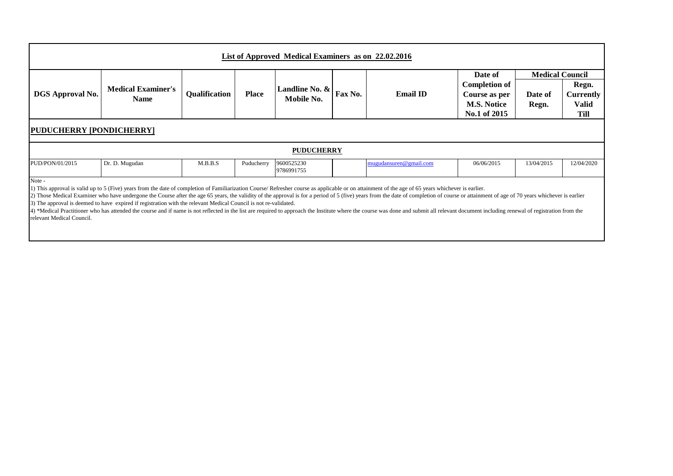|                                 | List of Approved Medical Examiners as on 22.02.2016 |               |              |                              |         |                        |                                                                                        |                                            |                                                          |  |  |  |
|---------------------------------|-----------------------------------------------------|---------------|--------------|------------------------------|---------|------------------------|----------------------------------------------------------------------------------------|--------------------------------------------|----------------------------------------------------------|--|--|--|
| <b>DGS</b> Approval No.         | <b>Medical Examiner's</b><br><b>Name</b>            | Qualification | <b>Place</b> | Landline No. &<br>Mobile No. | Fax No. | <b>Email ID</b>        | Date of<br><b>Completion of</b><br>Course as per<br><b>M.S. Notice</b><br>No.1 of 2015 | <b>Medical Council</b><br>Date of<br>Regn. | Regn.<br><b>Currently</b><br><b>Valid</b><br><b>Till</b> |  |  |  |
| <b>PUDUCHERRY [PONDICHERRY]</b> |                                                     |               |              |                              |         |                        |                                                                                        |                                            |                                                          |  |  |  |
|                                 |                                                     |               |              | <b>PUDUCHERRY</b>            |         |                        |                                                                                        |                                            |                                                          |  |  |  |
| PUD/PON/01/2015                 | Dr. D. Mugudan                                      | M.B.B.S       | Puducherry   | 9600525230<br>9786991755     |         | mugudansuren@gmail.com | 06/06/2015                                                                             | 13/04/2015                                 | 12/04/2020                                               |  |  |  |

1) This approval is valid up to 5 (Five) years from the date of completion of Familiarization Course/ Refresher course as applicable or on attainment of the age of 65 years whichever is earlier.

2) Those Medical Examiner who have undergone the Course after the age 65 years, the validity of the approval is for a period of 5 (five) years from the date of completion of course or attainment of age of 70 years whicheve 3) The approval is deemed to have expired if registration with the relevant Medical Council is not re-validated.